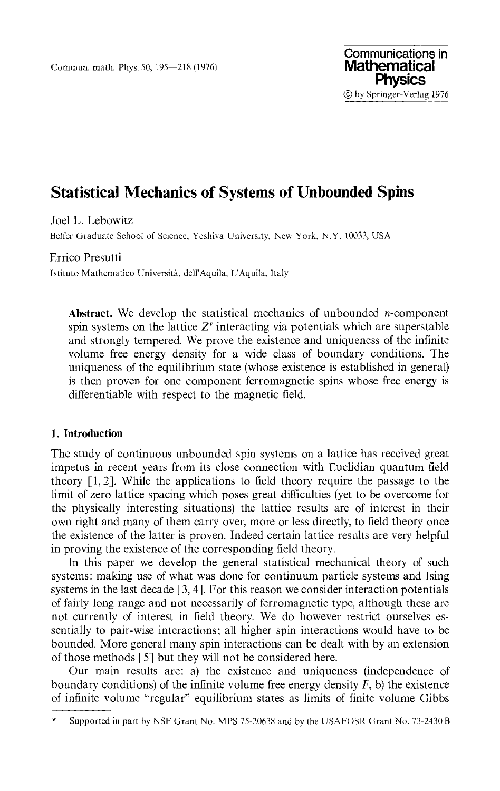Joel L. Lebowitz

Belfer Graduate School of Science, Yeshiva University, New York, N.Y. 10033, USA

Errico Presutti

Istituto Mathematico Universita, delΓAquila, L'Aquila, Italy

Abstract. We develop the statistical mechanics of unbounded *n*-component spin systems on the lattice  $Z^v$  interacting via potentials which are superstable and strongly tempered. We prove the existence and uniqueness of the infinite volume free energy density for a wide class of boundary conditions. The uniqueness of the equilibrium state (whose existence is established in general) is then proven for one component ferromagnetic spins whose free energy is differentiable with respect to the magnetic field.

# **1. Introduction**

The study of continuous unbounded spin systems on a lattice has received great impetus in recent years from its close connection with Euclidian quantum field theory [1,2]. While the applications to field theory require the passage to the limit of zero lattice spacing which poses great difficulties (yet to be overcome for the physically interesting situations) the lattice results are of interest in their own right and many of them carry over, more or less directly, to field theory once the existence of the latter is proven. Indeed certain lattice results are very helpful in proving the existence of the corresponding field theory.

In this paper we develop the general statistical mechanical theory of such systems: making use of what was done for continuum particle systems and Ising systems in the last decade [3, 4]. For this reason we consider interaction potentials of fairly long range and not necessarily of ferromagnetic type, although these are not currently of interest in field theory. We do however restrict ourselves essentially to pair-wise interactions; all higher spin interactions would have to be bounded. More general many spin interactions can be dealt with by an extension of those methods [5] but they will not be considered here.

Our main results are: a) the existence and uniqueness (independence of boundary conditions) of the infinite volume free energy density *F,* b) the existence of infinite volume "regular" equilibrium states as limits of finite volume Gibbs

Supported in part by NSF Grant No. MPS 75-20638 and by the USAFOSR Grant No. 73-2430 B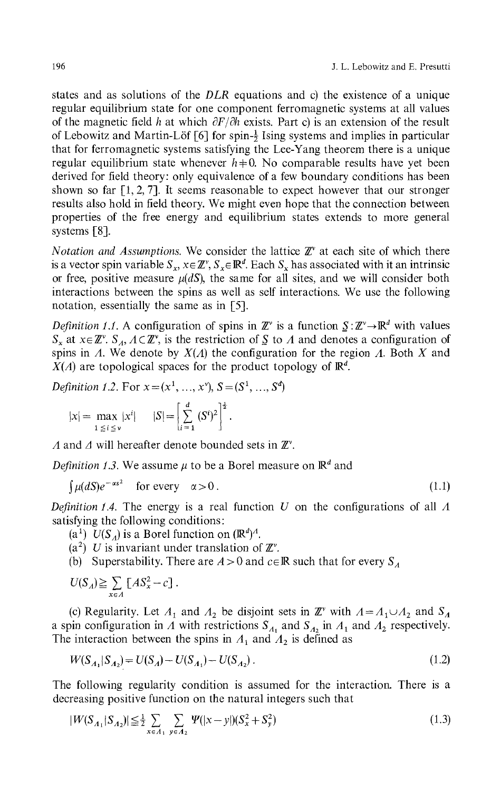states and as solutions of the *DLR* equations and c) the existence of a unique regular equilibrium state for one component ferromagnetic systems at all values of the magnetic field *h* at which *dF/dh* exists. Part c) is an extension of the result of Lebowitz and Martin-Löf [6] for spin- $\frac{1}{2}$  Ising systems and implies in particular that for ferromagnetic systems satisfying the Lee-Yang theorem there is a unique regular equilibrium state whenever  $h\neq 0$ . No comparable results have yet been derived for field theory: only equivalence of a few boundary conditions has been shown so far  $[1, 2, 7]$ . It seems reasonable to expect however that our stronger results also hold in field theory. We might even hope that the connection between properties of the free energy and equilibrium states extends to more general systems [8].

*Notation and Assumptions.* We consider the lattice  $\mathbb{Z}^{\nu}$  at each site of which there is a vector spin variable  $S_x$ ,  $x \in \mathbb{Z}^v$ ,  $S_x \in \mathbb{R}^d$ . Each  $S_x$  has associated with it an intrinsic or free, positive measure  $\mu(dS)$ , the same for all sites, and we will consider both interactions between the spins as well as self interactions. We use the following notation, essentially the same as in [5].

*Definition 1.1.* A configuration of spins in  $\mathbb{Z}^{\nu}$  is a function  $S: \mathbb{Z}^{\nu} \to \mathbb{R}^d$  with values *S<sub>x</sub>* at  $x \in \mathbb{Z}^v$ . *S<sub>A</sub>*,  $A \subset \mathbb{Z}^v$ , is the restriction of *S* to *A* and denotes a configuration of spins in *A.* We denote by *X(Λ)* the configuration for the region *A.* Both *X* and  $X(A)$  are topological spaces for the product topology of  $\mathbb{R}^d$ .

*Definition 1.2.* For  $x = (x^1, ..., x^v)$ ,  $S = (S^1, ..., S^d)$ 

$$
|x| = \max_{1 \le i \le v} |x^i|
$$
  $|S| = \left[\sum_{i=1}^d (S^i)^2\right]^{\frac{1}{2}}$ .

*A* and *A* will hereafter denote bounded sets in *Έ<sup>v</sup> .*

*Definition 1.3.* We assume  $\mu$  to be a Borel measure on  $\mathbb{R}^d$  and

$$
\int \mu(dS)e^{-\alpha s^2} \quad \text{for every} \quad \alpha > 0. \tag{1.1}
$$

*Definition 1.4.* The energy is a real function *U* on the configurations of all *A* satisfying the following conditions :

 $(a<sup>1</sup>)$   $U(S_A)$  is a Borel function on  $(\mathbb{R}^d)^A$ .

- (a<sup>2</sup>) U is invariant under translation of  $\mathbb{Z}^v$ .
- (b) Superstability. There are  $A > 0$  and  $c ∈ ℝ$  such that for every  $S<sub>A</sub>$

$$
U(S_A) \geq \sum_{x \in A} [AS_x^2 - c].
$$

(c) Regularity. Let  $A_1$  and  $A_2$  be disjoint sets in  $\mathbb{Z}^{\nu}$  with  $A = A_1 \cup A_2$  and  $S_A$ a spin configuration in  $\Lambda$  with restrictions  $S_{\Lambda_1}$  and  $S_{\Lambda_2}$  in  $\Lambda_1$  and  $\Lambda_2$  respectively. The interaction between the spins in  $A_1$  and  $A_2$  is defined as

$$
W(S_{A_1}|S_{A_2}) = U(S_A) - U(S_{A_1}) - U(S_{A_2}).
$$
\n(1.2)

The following regularity condition is assumed for the interaction. There is a decreasing positive function on the natural integers such that

$$
|W(S_{A_1}|S_{A_2})| \leq \frac{1}{2} \sum_{x \in A_1} \sum_{y \in A_2} \Psi(|x-y|)(S_x^2 + S_y^2)
$$
\n(1.3)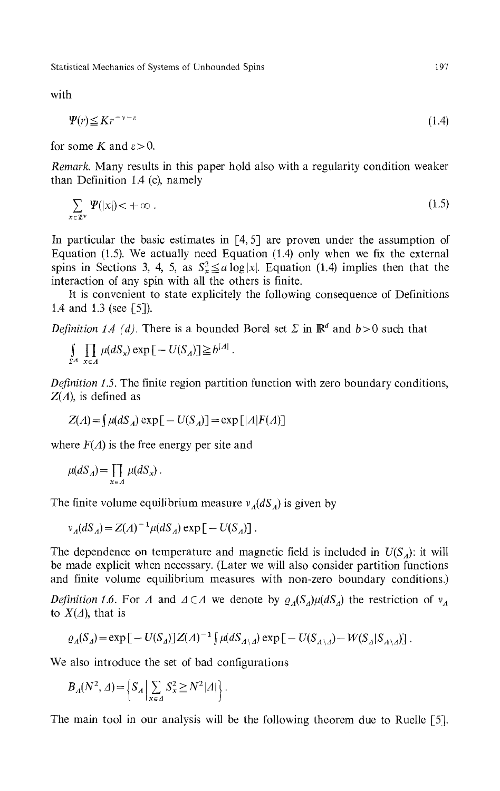**with**

$$
\Psi(r) \leq Kr^{-\nu - \varepsilon} \tag{1.4}
$$

for some *K* and  $\varepsilon > 0$ .

*Remark.* Many results in this paper hold also with a regularity condition weaker than Definition 1.4 (c), namely

$$
\sum_{x \in \mathbb{Z}^{\nu}} \Psi(|x|) < +\infty \tag{1.5}
$$

In particular the basic estimates in  $[4, 5]$  are proven under the assumption of Equation (1.5). We actually need Equation (1.4) only when we fix the external spins in Sections 3, 4, 5, as  $S_x^2 \le a \log|x|$ . Equation (1.4) implies then that the interaction of any spin with all the others is finite.

It is convenient to state explicitely the following consequence of Definitions 1.4 and 1.3 (see [5]).

*Definition 1.4 (d)*. There is a bounded Borel set  $\Sigma$  in  $\mathbb{R}^d$  and  $b > 0$  such that

$$
\int_{\Sigma^A} \prod_{x \in A} \mu(dS_x) \exp \big[ - U(S_A) \big] \geq b^{|A|}.
$$

*Definition 1.5.* The finite region partition function with zero boundary conditions, *Z(Λ),* is defined as

$$
Z(A) = \int \mu(dS_A) \exp[-U(S_A)] = \exp[|A|F(A)]
$$

where  $F(A)$  is the free energy per site and

$$
\mu(dS_A) = \prod_{x \in A} \mu(dS_x).
$$

The finite volume equilibrium measure *v<sup>Λ</sup> (dS<sup>Λ</sup> )* is given by

$$
v_A(dS_A) = Z(A)^{-1} \mu(dS_A) \exp \left[ -U(S_A) \right].
$$

The dependence on temperature and magnetic field is included in *U(S<sup>Λ</sup> ):* it will be made explicit when necessary. (Later we will also consider partition functions and finite volume equilibrium measures with non-zero boundary conditions.)

*Definition 1.6.* For *A* and  $\Delta \subset A$  we denote by  $\rho_A(S_A)\mu(dS_A)$  the restriction of  $v_A$ to  $X(\Delta)$ , that is

$$
\varrho_A(S_A) = \exp\big[-U(S_A)\big]Z(A)^{-1}\big[\,\mu(dS_{A\setminus A})\exp\big[-U(S_{A\setminus A}) - W(S_A|S_{A\setminus A})\big]\,.
$$

We also introduce the set of bad configurations

$$
B_A(N^2, \Delta) = \left\{ S_A \, \middle| \, \sum_{x \in \Delta} S_x^2 \ge N^2 |\Delta| \right\}.
$$

The main tool in our analysis will be the following theorem due to Ruelle [5].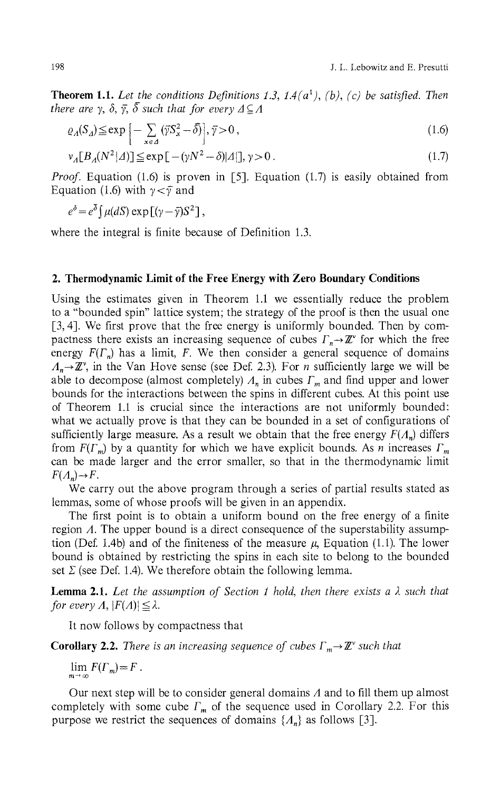**Theorem 1.1.** Let the conditions Definitions 1.3, 1.4( $a^1$ ), (b), (c) be satisfied. Then *there are*  $\gamma$ *,*  $\delta$ *,*  $\bar{\gamma}$ *,*  $\bar{\delta}$  *such that for every*  $\Delta \subseteq \Lambda$ 

$$
\varrho_A(S_A) \le \exp\left[-\sum_{x \in A} \left(\overline{\gamma} S_x^2 - \overline{\delta}\right)\right], \overline{\gamma} > 0,
$$
\n(1.6)

$$
\nu_A[B_A(N^2|A)] \le \exp\left[-(\gamma N^2 - \delta)|A|\right], \gamma > 0. \tag{1.7}
$$

*Proof.* Equation (1.6) is proven in [5]. Equation (1.7) is easily obtained from Equation (1.6) with  $\gamma < \bar{\gamma}$  and

$$
e^{\delta} = e^{\overline{\delta}} \int \mu(dS) \exp \left[ (\gamma - \overline{\gamma}) S^2 \right],
$$

where the integral is finite because of Definition 1.3.

## **2. Thermodynamic Limit of the Free Energy with Zero Boundary Conditions**

Using the estimates given in Theorem 1.1 we essentially reduce the problem to a "bounded spin" lattice system; the strategy of the proof is then the usual one [3,4]. We first prove that the free energy is uniformly bounded. Then by compactness there exists an increasing sequence of cubes  $\Gamma_n \rightarrow \mathbb{Z}^n$  for which the free energy *F(Γ<sup>n</sup> )* has a limit, *F.* We then consider a general sequence of domains  $\Lambda_n \to \mathbb{Z}^{\nu}$ , in the Van Hove sense (see Def. 2.3). For *n* sufficiently large we will be able to decompose (almost completely) *Λ<sup>n</sup>* in cubes *Γ<sup>m</sup>* and find upper and lower bounds for the interactions between the spins in different cubes. At this point use of Theorem 1.1 is crucial since the interactions are not uniformly bounded: what we actually prove is that they can be bounded in a set of configurations of sufficiently large measure. As a result we obtain that the free energy *F(Λ<sup>n</sup> )* differs from *F(ΓJ* by a quantity for which we have explicit bounds. As *n* increases *Γ<sup>m</sup>* can be made larger and the error smaller, so that in the thermodynamic limit  $F(A_n) \rightarrow F$ 

We carry out the above program through a series of partial results stated as lemmas, some of whose proofs will be given in an appendix.

The first point is to obtain a uniform bound on the free energy of a finite region *Λ.* The upper bound is a direct consequence of the superstability assumption (Def. 1.4b) and of the finiteness of the measure  $\mu$ , Equation (1.1). The lower bound is obtained by restricting the spins in each site to belong to the bounded set *Σ* (see Def. 1.4). We therefore obtain the following lemma.

**Lemma 2.1.** *Let the assumption of Section 1 hold, then there exists a λ such that for every A,*  $|F(A)| \leq \lambda$ .

It now follows by compactness that

**Corollary 2.2.** There is an increasing sequence of cubes  $Γ_m → ℤ$ <sup>ν</sup> such that

 $\lim_{m\to\infty} F(\Gamma_m)=F$ .

Our next step will be to consider general domains *Λ* and to fill them up almost completely with some cube *Γ<sup>m</sup>* of the sequence used in Corollary 2.2. For this purpose we restrict the sequences of domains *{Λ<sup>n</sup> }* as follows [3].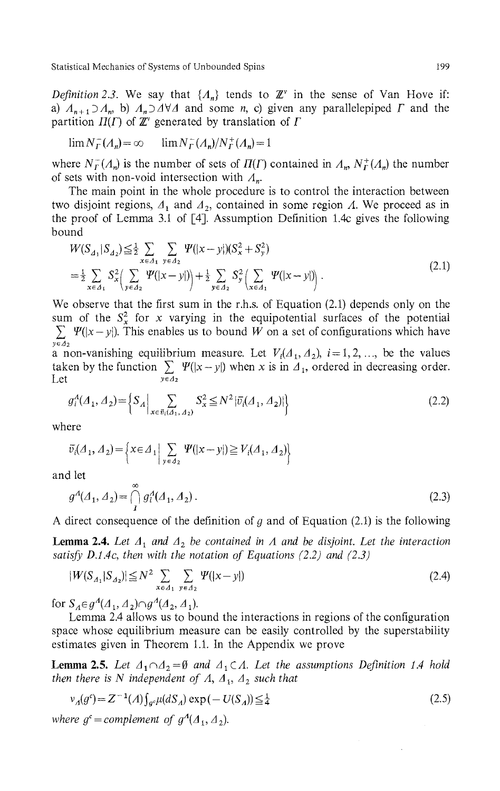*Definition 2.3.* We say that  $\{A_n\}$  tends to  $\mathbb{Z}^{\nu}$  in the sense of Van Hove if: a)  $A_{n+1} \supseteq A_n$ , b)  $A_n \supseteq A \forall A$  and some *n*, c) given any parallelepiped  $\Gamma$  and the partition  $\Pi(\Gamma)$  of  $\mathbb{Z}^n$  generated by translation of  $\Gamma$ 

$$
\lim N_F^-(A_n) = \infty \qquad \lim N_F^-(A_n)/N_F^+(A_n) = 1
$$

where  $N_f^-(\Lambda_n)$  is the number of sets of  $\Pi(\Gamma)$  contained in  $\Lambda_n$ ,  $N_f^+(\Lambda_n)$  the number of sets with non-void intersection with *Λ<sup>n</sup> .*

The main point in the whole procedure is to control the interaction between two disjoint regions, *A<sup>ί</sup>* and *A29* contained in some region *Λ.* We proceed as in the proof of Lemma 3.1 of [4]. Assumption Definition 1.4c gives the following bound

$$
W(S_{A_1}|S_{A_2}) \leq \frac{1}{2} \sum_{x \in A_1} \sum_{y \in A_2} \Psi(|x-y|)(S_x^2 + S_y^2)
$$
  
=  $\frac{1}{2} \sum_{x \in A_1} S_x^2 \Big( \sum_{y \in A_2} \Psi(|x-y|) \Big) + \frac{1}{2} \sum_{y \in A_2} S_y^2 \Big( \sum_{x \in A_1} \Psi(|x-y|) \Big)$ . (2.1)

We observe that the first sum in the r.h.s. of Equation (2.1) depends only on the sum of the  $S_x^2$  for x varying in the equipotential surfaces of the potential  $\sum \Psi(|x-y|)$ . This enables us to bound W on a set of configurations which have *yeA<sup>2</sup>* a non-vanishing equilibrium measure. Let  $V_i(A_1, A_2)$ ,  $i = 1, 2, \ldots$ , be the values taken by the function  $\sum \Psi(|x-y|)$  when x is in  $\Lambda_1$ , ordered in decreasing order.

Let *yεΔ<sup>2</sup>*

$$
g_i^A(\Lambda_1, \Lambda_2) = \left\{ S_A \Big| \sum_{x \in \bar{v}_i(\Lambda_1, \Lambda_2)} S_x^2 \le N^2 |\bar{v}_i(\Lambda_1, \Lambda_2)| \right\}
$$
(2.2)

where

$$
\overline{v}_i(\Lambda_1, \Lambda_2) = \left\{ x \in \Lambda_1 \Big| \sum_{y \in \Lambda_2} \Psi(|x - y|) \ge V_i(\Lambda_1, \Lambda_2) \right\}
$$

and let

$$
g^A(A_1, A_2) = \bigcap_{i=1}^{\infty} g_i^A(A_1, A_2).
$$
 (2.3)

A direct consequence of the definition of *g* and of Equation (2.1) is the following

**Lemma 2.4.** Let  $A_1$  and  $A_2$  be contained in  $A$  and be disjoint. Let the interaction *satisfy D.1.4c, then with the notation of Equations (2.2) and (2.3)* 

$$
|W(S_{A_1}|S_{A_2})| \le N^2 \sum_{x \in A_1} \sum_{y \in A_2} \Psi(|x - y|)
$$
 (2.4)

for  $S_A \in g^A(\Lambda_1, \Lambda_2) \cap g^A(\Lambda_2, \Lambda_1)$ .

Lemma 2.4 allows us to bound the interactions in regions of the configuration space whose equilibrium measure can be easily controlled by the superstability estimates given in Theorem 1.1. In the Appendix we prove

**Lemma 2.5.** Let  $A_1 \cap A_2 = \emptyset$  and  $A_1 \subset A$ . Let the assumptions Definition 1.4 hold *then there is N independent of A,*  $A_1$ ,  $A_2$  *such that* 

$$
\nu_A(g^c) = Z^{-1}(A) \int_{g^c} \mu(dS_A) \exp(-U(S_A)) \leq \frac{1}{4}
$$
 (2.5)

*where*  $g^c$  = *complement* of  $g^A$  $(A_1, A_2)$ .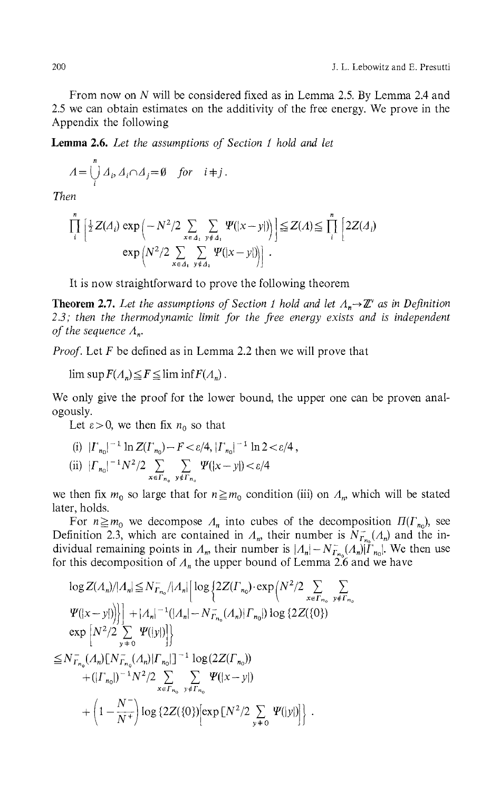From now on *N* will be considered fixed as in Lemma 2.5. By Lemma 2.4 and 2.5 we can obtain estimates on the additivity of the free energy. We prove in the Appendix the following

**Lemma 2.6.** *Let the assumptions of Section 1 hold and let*

$$
A = \bigcup_{i=1}^{n} A_i, A_i \cap A_j = \emptyset \quad \text{for} \quad i \neq j.
$$

*Then*

$$
\prod_{i}^{n} \left[ \frac{1}{2} Z(\Lambda_i) \exp \left( -N^2/2 \sum_{x \in \Lambda_i} \sum_{y \notin \Lambda_i} \Psi(|x-y|) \right) \right] \leq Z(\Lambda) \leq \prod_{i}^{n} \left[ 2Z(\Lambda_i) \exp \left( N^2/2 \sum_{x \in \Lambda_i} \sum_{y \notin \Lambda_i} \Psi(|x-y|) \right) \right].
$$

It is now straightforward to prove the following theorem

**Theorem 2.7.** Let the assumptions of Section 1 hold and let  $\Lambda_n \rightarrow \mathbb{Z}^{\vee}$  as in Definition *2.3; then the thermodynamic limit for the free energy exists and is independent of the sequence A<sup>n</sup> .*

*Proof.* Let *F* be defined as in Lemma 2.2 then we will prove that

 $\limsup F(A_n) \leq F \leq \liminf F(A_n)$ .

We only give the proof for the lower bound, the upper one can be proven analogously.

Let  $\varepsilon > 0$ , we then fix  $n_0$  so that

(i) 
$$
|{\Gamma}_{n_0}|^{-1} \ln Z({\Gamma}_{n_0}) - F < \varepsilon/4
$$
,  $|{\Gamma}_{n_0}|^{-1} \ln 2 < \varepsilon/4$ ,  
\n(ii)  $|{\Gamma}_{n_0}|^{-1} N^2/2 \sum_{x \in {\Gamma}_{n_0}} \sum_{y \notin {\Gamma}_{n_0}} \Psi(|x-y|) < \varepsilon/4$ 

we then fix  $m_0$  so large that for  $n \ge m_0$  condition (iii) on  $\Lambda_n$ , which will be stated later, holds.

For  $n \geq m_0$  we decompose  $\Lambda_n$  into cubes of the decomposition  $\Pi(\Gamma_{n_0})$ , see Definition 2.3, which are contained in  $\Lambda_m$ , their number is  $N_{\Gamma_{n_0}}(A_n)$  and the individual remaining points in  $\Lambda_n$ , their number is  $|\Lambda_n| - N_{\Gamma_{n_0}}^-(\Lambda_n)|\Gamma_{n_0}|$ . We then use for this decomposition of  $\Lambda_n$  the upper bound of Lemma 2.6 and we have

$$
\log Z(A_n)/|A_n| \leq N_{\Gamma_{n_0}}^{-}/|A_n| \left[ \log \left\{ 2Z(\Gamma_{n_0}) \cdot \exp \left( N^2/2 \sum_{x \in \Gamma_{n_0}} \sum_{y \notin \Gamma_{n_0}} Y \right) \right\} \right] + |A_n|^{-1} (|A_n| - N_{\Gamma_{n_0}}^{-}(A_n) | \Gamma_{n_0}|) \log \left\{ 2Z(\{0\}) \right\} \n\exp \left[ N^2/2 \sum_{y \neq 0} \Psi(|y|) \right] \} \n\leq N_{\Gamma_{n_0}}^{-}(A_n) [N_{\Gamma_{n_0}}^{-}(A_n) | \Gamma_{n_0}|]^{-1} \log (2Z(\Gamma_{n_0})) \n+ (|\Gamma_{n_0}|)^{-1} N^2/2 \sum_{x \in \Gamma_{n_0}} \sum_{y \notin \Gamma_{n_0}} \Psi(|x-y|) \n+ \left( 1 - \frac{N}{N^+} \right) \log \left\{ 2Z(\{0\}) \left[ \exp \left[ N^2/2 \sum_{y \neq 0} \Psi(|y|) \right] \right\} .
$$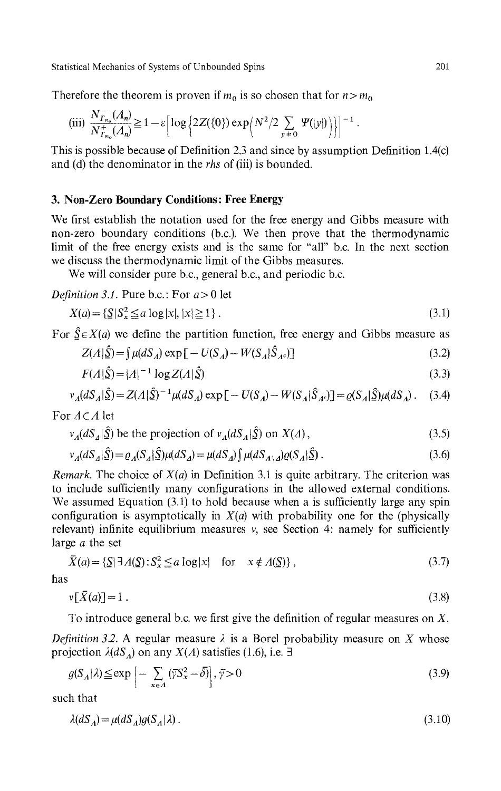Therefore the theorem is proven if  $m_0$  is so chosen that for  $n > m_0$ 

(iii) 
$$
\frac{N_{\Gamma_{n_0}}(A_n)}{N_{\Gamma_{n_0}}^+(A_n)} \ge 1 - \varepsilon \left[ \log \left\{ 2Z(\{0\}) \exp \left( N^2 / 2 \sum_{y=0} \Psi(|y|) \right) \right\} \right]^{-1}
$$

This is possible because of Definition 2.3 and since by assumption Definition 1.4(c) and (d) the denominator in the *rhs* of (iii) is bounded.

## **3. Non-Zero Boundary Conditions : Free Energy**

We first establish the notation used for the free energy and Gibbs measure with non-zero boundary conditions (b.c.). We then prove that the thermodynamic limit of the free energy exists and is the same for "all" b.c. In the next section we discuss the thermodynamic limit of the Gibbs measures.

We will consider pure b.c., general b.c., and periodic b.c.

*Definition 3.1.* Pure b.c.: For 
$$
a > 0
$$
 let

$$
X(a) = \{ \underline{S} \mid S_x^2 \le a \log|x|, |x| \ge 1 \}.
$$
\n
$$
(3.1)
$$

For  $\hat{\mathfrak{L}} \in X(a)$  we define the partition function, free energy and Gibbs measure as

$$
Z(A|\hat{S}) = \int \mu(dS_A) \exp\left[-U(S_A) - W(S_A|\hat{S}_{A^c})\right]
$$
\n(3.2)

$$
F(A|\hat{\underline{S}}) = |A|^{-1} \log Z(A|\hat{\underline{S}})
$$
\n
$$
(3.3)
$$

$$
\nu_A(dS_A|\hat{S}) = Z(A|\hat{S})^{-1}\mu(dS_A) \exp[-U(S_A) - W(S_A|\hat{S}_A)] = \varrho(S_A|\hat{S})\mu(dS_A). \quad (3.4)
$$

For  $\Delta \subset \Lambda$  let

$$
v_A(dS_A|\hat{\mathbf{S}}) \text{ be the projection of } v_A(dS_A|\hat{\mathbf{S}}) \text{ on } X(\Lambda), \tag{3.5}
$$

$$
\begin{aligned} \n\mathcal{L}_{A}(dS_{A}|\hat{\Sigma}) & \text{be the projection of } v_{A}(dS_{A}|\hat{\Sigma}) \text{ on } X(\Delta), \\ \n\mathcal{L}_{A}(dS_{A}|\hat{\Sigma}) &= \varrho_{A}(S_{A}|\hat{\Sigma})\mu(dS_{A}) = \mu(dS_{A})\int \mu(dS_{A\setminus A})\varrho(S_{A}|\hat{\Sigma}) \,. \n\end{aligned} \tag{3.6}
$$

*Remark.* The choice of *X(a)* in Definition 3.1 is quite arbitrary. The criterion was to include sufficiently many configurations in the allowed external conditions. We assumed Equation (3.1) to hold because when a is sufficiently large any spin configuration is asymptotically in  $X(a)$  with probability one for the (physically relevant) infinite equilibrium measures  $v$ , see Section 4: namely for sufficiently large *a* the set

$$
\bar{X}(a) = \{ \underline{S} | \exists \Lambda(\underline{S}) : S_x^2 \le a \log|x| \text{ for } x \notin \Lambda(\underline{S}) \},\tag{3.7}
$$

has

$$
v[\bar{X}(a)] = 1. \tag{3.8}
$$

To introduce general b.c. we first give the definition of regular measures on *X.*

*Definition 3.2.* A regular measure *λ* is a Borel probability measure on *X* whose projection  $\lambda(dS_A)$  on any  $X(A)$  satisfies (1.6), i.e.  $\exists$ 

$$
g(S_A|\lambda) \le \exp\left[-\sum_{x \in A} (\overline{\gamma}S_x^2 - \overline{\delta})\right], \,\,\overline{\gamma} > 0\tag{3.9}
$$

such that

$$
\lambda(dS_A) = \mu(dS_A)g(S_A|\lambda). \tag{3.10}
$$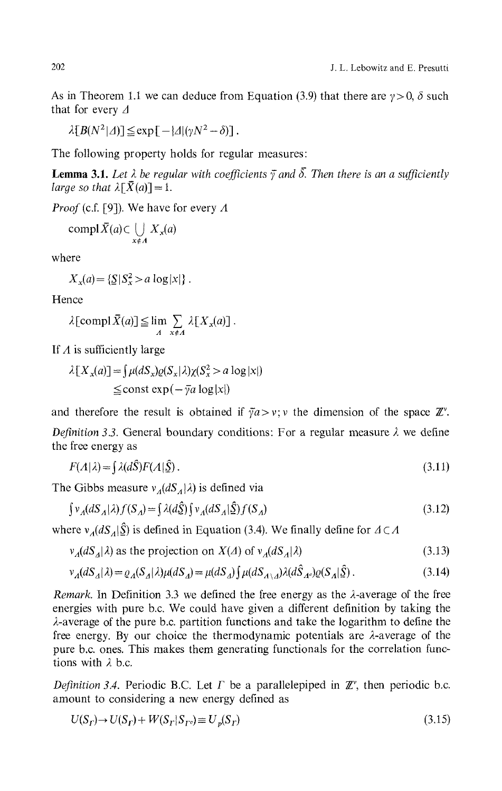As in Theorem 1.1 we can deduce from Equation (3.9) that there are  $\gamma > 0$ ,  $\delta$  such that for every *Δ*

 $\lambda [B(N^2|\Delta)] \leq \exp[-|\Delta|(\nu N^2-\delta)].$ 

The following property holds for regular measures:

**Lemma 3.1.** *Let λ be regular with coefficients γ and δ. Then there is an a sufficiently large so that*  $\lambda \lceil \bar{X}(a) \rceil = 1$ .

*Proof* (c.f. [9]). We have for every *Λ*

$$
\mathrm{compl}\,\bar{X}(a) \subset \bigcup_{x \notin A} X_x(a)
$$

where

 $X_x(a) = \{ \mathbf{S} | S_x^2 > a \log|x| \}$ 

Hence

$$
\lambda \left[ \text{compl}\,\bar{X}(a) \right] \leq \lim_{A} \sum_{x \notin A} \lambda \left[ X_x(a) \right].
$$

If *A* is sufficiently large

$$
\lambda[X_x(a)] = \int \mu(dS_x)\varrho(S_x|\lambda)\chi(S_x^2 > a \log|x|)
$$
  
\n
$$
\leq \text{const} \exp(-\bar{\gamma}a \log|x|)
$$

and therefore the result is obtained if  $\bar{\gamma}a > v$ ; v the dimension of the space  $\mathbb{Z}^v$ . *Definition 3.3.* General boundary conditions: For a regular measure *λ* we define the free energy as

$$
F(A|\lambda) = \int \lambda(d\hat{S}) F(A|\hat{S}) \,. \tag{3.11}
$$

The Gibbs measure *v<sup>Λ</sup> (dS<sup>Λ</sup> \λ)* is defined via

$$
\int v_A(dS_A|\lambda)f(S_A) = \int \lambda(d\hat{\Sigma}) \int v_A(dS_A|\hat{\Sigma})f(S_A)
$$
\n(3.12)

where *v<sup>A</sup> (dS<sup>A</sup> \S)* is defined in Equation (3.4). We finally define for *A CΛ*

$$
v_A(dS_A|\lambda) \text{ as the projection on } X(\Lambda) \text{ of } v_A(dS_A|\lambda) \tag{3.13}
$$

$$
\nu_A(dS_A|\lambda) = \varrho_A(S_A|\lambda)\mu(dS_A) = \mu(dS_A)\int \mu(dS_{A\setminus A})\lambda(d\hat{S}_{A^c})\varrho(S_A|\hat{S})\,. \tag{3.14}
$$

*Remark.* In Definition 3.3 we defined the free energy as the  $\lambda$ -average of the free energies with pure b.c. We could have given a different definition by taking the  $\lambda$ -average of the pure b.c. partition functions and take the logarithm to define the free energy. By our choice the thermodynamic potentials are  $\lambda$ -average of the pure b.c. ones. This makes them generating functionals for the correlation functions with *λ* b.c.

*Definition 3.4.* Periodic B.C. Let  $\Gamma$  be a parallelepiped in  $\mathbb{Z}^{\nu}$ , then periodic b.c. amount to considering a new energy defined as

$$
U(Sr) \to U(Sr) + W(Sr|Src) \equiv Up(Sr)
$$
\n(3.15)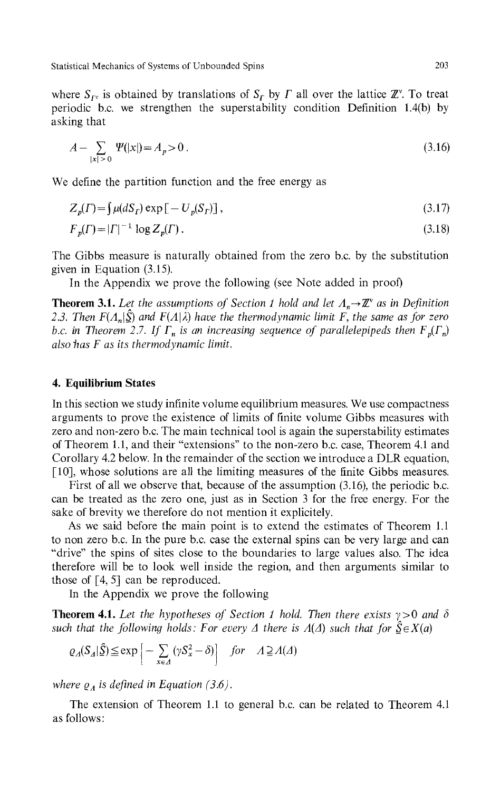where  $S_{\Gamma^c}$  is obtained by translations of  $S_{\Gamma}$  by  $\Gamma$  all over the lattice  $\mathbb{Z}^{\gamma}$ . To treat periodic b.c. we strengthen the superstability condition Definition 1.4(b) by asking that

$$
A - \sum_{|x| > 0} \Psi(|x|) = A_p > 0 \tag{3.16}
$$

We define the partition function and the free energy as

$$
Z_p(\Gamma) = \int \mu(dS_\Gamma) \exp\left[-U_p(S_\Gamma)\right],\tag{3.17}
$$

$$
F_p(\Gamma) = |\Gamma|^{-1} \log Z_p(\Gamma). \tag{3.18}
$$

The Gibbs measure is naturally obtained from the zero b.c. by the substitution given in Equation (3.15).

In the Appendix we prove the following (see Note added in proof)

**Theorem 3.1.** Let the assumptions of Section 1 hold and let  $\Lambda_n \rightarrow \mathbb{Z}^r$  as in Definition *23. Then F(Λ<sup>n</sup> \S) and F(Λ\λ) have the thermo dynamic limit* F, *the same as for zero b.c.* in Theorem 2.7. If  $\Gamma_n$  is an increasing sequence of parallelepipeds then  $F_p(\Gamma_n)$ *also has F as its thermodynamίc limit.*

## **4. Equilibrium States**

In this section we study infinite volume equilibrium measures. We use compactness arguments to prove the existence of limits of finite volume Gibbs measures with zero and non-zero b.c. The main technical tool is again the superstability estimates of Theorem 1.1, and their "extensions" to the non-zero b.c. case, Theorem 4.1 and Corollary 4.2 below. In the remainder of the section we introduce a DLR equation, [10], whose solutions are all the limiting measures of the finite Gibbs measures.

First of all we observe that, because of the assumption (3.16), the periodic b.c. can be treated as the zero one, just as in Section 3 for the free energy. For the sake of brevity we therefore do not mention it explicitely.

As we said before the main point is to extend the estimates of Theorem 1.1 to non zero b.c. In the pure b.c. case the external spins can be very large and can "drive" the spins of sites close to the boundaries to large values also. The idea therefore will be to look well inside the region, and then arguments similar to those of [4, 5] can be reproduced.

In the Appendix we prove the following

**Theorem 4.1.** *Let the hypotheses of Section 1 hold. Then there exists* y>0 *and δ such that the following holds: For every*  $\Delta$  *there is*  $\Lambda(\Delta)$  *such that for*  $\hat{S} \in X(a)$ 

$$
\varrho_A(S_A|\hat{S}) \le \exp\left[-\sum_{x \in A} (\gamma S_x^2 - \delta)\right] \quad \text{for} \quad A \supseteq A(\Delta)
$$

*where Q<sup>Λ</sup> is defined in Equation (3.6).*

The extension of Theorem 1.1 to general b.c. can be related to Theorem 4.1 as follows: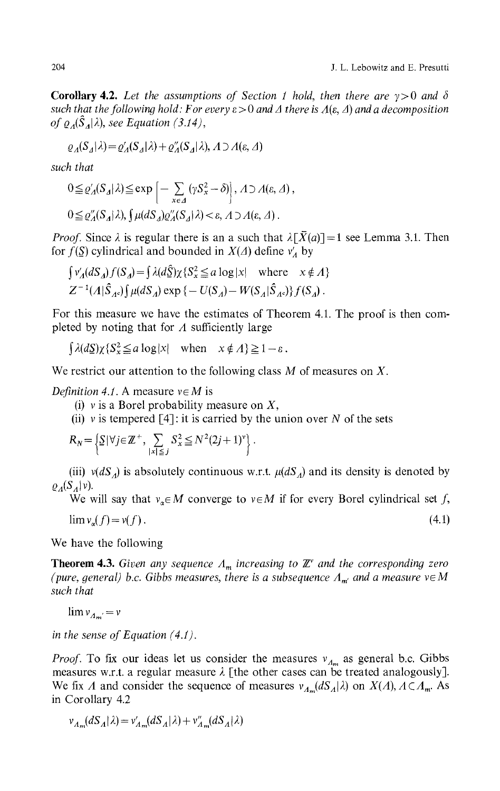**Corollary 4.2.** *Let the assumptions of Section 1 hold, then there are* y>0 *and δ such that the following hold : For every* ε > 0 *and A there is Λ(ε, Δ) and a decomposition of Q<sup>Λ</sup> (S<sup>Δ</sup> \λ), see Equation (3.14),*

$$
\varrho_A(S_A|\lambda) = \varrho'_A(S_A|\lambda) + \varrho''_A(S_A|\lambda), \,\Lambda \supset \Lambda(\varepsilon, \Delta)
$$

*such that*

$$
0 \leq \varrho_A'(S_A|\lambda) \leq \exp\left[-\sum_{x \in \Delta} (\gamma S_x^2 - \delta)\right], \Lambda \supseteq A(\varepsilon, \Delta),
$$
  

$$
0 \leq \varrho_A''(S_A|\lambda), \int \mu(dS_A)\varrho_A''(S_A|\lambda) < \varepsilon, \Lambda \supseteq A(\varepsilon, \Delta).
$$

*Proof.* Since  $\lambda$  is regular there is an a such that  $\lambda \lceil \bar{X}(a) \rceil = 1$  see Lemma 3.1. Then for *f(S)* cylindrical and bounded in *X(A)* define *v'<sup>Λ</sup>* by

$$
\int v'_A(dS_A)f(S_A) = \int \lambda(d\hat{S})\chi\{S_x^2 \le a \log|x| \text{ where } x \notin A\}
$$
  

$$
Z^{-1}(A|\hat{S}_{A^c})\int \mu(dS_A) \exp\{-U(S_A) - W(S_A|\hat{S}_{A^c})\}f(S_A).
$$

For this measure we have the estimates of Theorem 4.1. The proof is then completed by noting that for *A* sufficiently large

 $\left[\lambda(dS)\chi\left\{S_{x}^{2}\leq a\log|x|\right\}$  when  $x\notin\Lambda\right\}\geq1-\varepsilon$ .

We restrict our attention to the following class M of measures on *X.*

*Definition 4.1.* A measure  $v \in M$  is

- (i) v is a Borel probability measure on *X,*
- (ii) v is tempered  $\lceil 4 \rceil$ : it is carried by the union over N of the sets

$$
R_N = \left\{ \frac{S|\forall j \in \mathbb{Z}^+, \sum_{|x| \leq j} S_x^2 \leq N^2 (2j+1)^{\nu}}{\|x\| \leq j} \right\}.
$$

(iii)  $v(dS_A)$  is absolutely continuous w.r.t.  $\mu(dS_A)$  and its density is denoted by *S*<sub>*A*</sub><sup>|*V).* .</sup>

We will say that  $v_{\alpha} \in M$  converge to  $v \in M$  if for every Borel cylindrical set f,

 $\lim v_{\alpha}(f) = v(f).$  (4.1)

We have the following

**Theorem 4.3.** *Given any sequence Λ<sup>m</sup> increasing to Έ and the corresponding zero (pure, general) b.c. Gibbs measures, there is a subsequence*  $\Lambda_{m'}$  and a measure  $v \in M$ *such that*

 $\lim v_{A_m} = v$ 

*in the sense of Equation (4.1).*

*Proof.* To fix our ideas let us consider the measures  $v_{Λ_m}$  as general b.c. Gibbs measures w.r.t. a regular measure *λ* [the other cases can be treated analogously]. We fix *Λ* and consider the sequence of measures  $v_{A_m}(dS_A|\lambda)$  on  $X(A), A \subset A_m$ . As in Corollary 4.2

 $v_{A_m}(dS_A|\lambda) = v'_{A_m}(dS_A|\lambda) + v''_{A_m}(dS_A|\lambda)$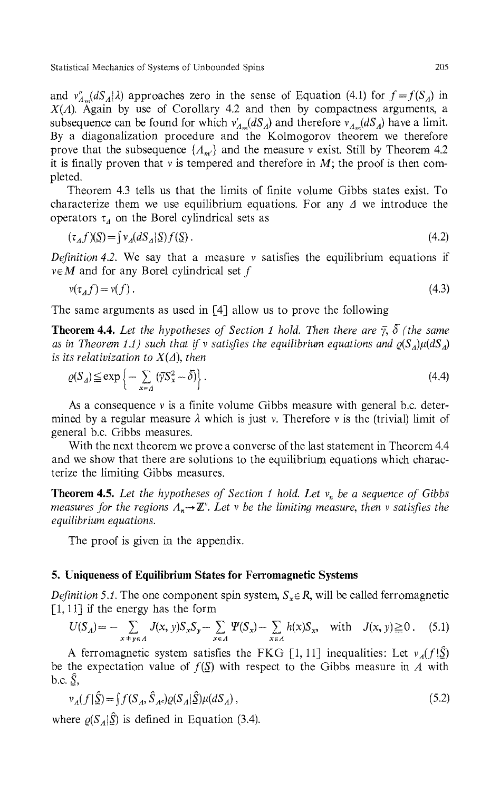and  $v''_{A_m}(dS_A|\lambda)$  approaches zero in the sense of Equation (4.1) for  $f = f(S_A)$  in *X(Λ).* Again by use of Corollary 4.2 and then by compactness arguments, a subsequence can be found for which  $v'_{A_m}(dS_A)$  and therefore  $v_{A_m}(dS_A)$  have a limit. By a diagonalization procedure and the Kolmogorov theorem we therefore prove that the subsequence *{Λm>}* and the measure v exist. Still by Theorem 4.2 it is finally proven that  $v$  is tempered and therefore in  $M$ ; the proof is then completed.

Theorem 4.3 tells us that the limits of finite volume Gibbs states exist. To characterize them we use equilibrium equations. For any *A* we introduce the operators *τ<sup>A</sup>* on the Borel cylindrical sets as

$$
(\tau_A f)(\underline{S}) = \int v_A (dS_A | \underline{S}) f(\underline{S}) . \tag{4.2}
$$

*Definition 4.2.* We say that a measure v satisfies the equilibrium equations if  $v \in M$  and for any Borel cylindrical set f

$$
v(\tau_A f) = v(f). \tag{4.3}
$$

The same arguments as used in [4] allow us to prove the following

**Theorem 4.4.** *Let the hypotheses of Section 1 hold. Then there are y, δ (the same* as in Theorem 1.1) such that if v satisfies the equilibrium equations and  $\varrho(S_A)\mu(dS_A)$ *is its relativization to X(Δ), then*

$$
\varrho(S_A) \le \exp\left\{-\sum_{x \in A} \left(\overline{\gamma} S_x^2 - \overline{\delta}\right)\right\}.
$$
\n(4.4)

As a consequence  $\nu$  is a finite volume Gibbs measure with general b.c. determined by a regular measure *λ* which is just v. Therefore v is the (trivial) limit of general b.c. Gibbs measures.

With the next theorem we prove a converse of the last statement in Theorem 4.4 and we show that there are solutions to the equilibrium equations which characterize the limiting Gibbs measures.

**Theorem 4.5.** *Let the hypotheses of Section 1 hold. Let v<sup>n</sup> be a sequence of Gibbs measures for the regions Λ<sub>n</sub>→ℤ'. Let v be the limiting measure, then v satisfies the equilibrium equations.*

The proof is given in the appendix.

#### **5. Uniqueness of Equilibrium States for Ferromagnetic Systems**

*Definition 5.1.* The one component spin system,  $S_x \in \mathbb{R}$ , will be called ferromagnetic  $[1, 11]$  if the energy has the form

$$
U(S_A) = -\sum_{x+y \in A} J(x, y) S_x S_y - \sum_{x \in A} \Psi(S_x) - \sum_{x \in A} h(x) S_x, \text{ with } J(x, y) \ge 0. \tag{5.1}
$$

A ferromagnetic system satisfies the FKG [1, 11] inequalities: Let  $v_A(f|\hat{S})$ be the expectation value of  $f(\underline{S})$  with respect to the Gibbs measure in A with b.c.  $\hat{S}$ ,

$$
\nu_A(f|\hat{\underline{S}}) = \int f(S_A, \hat{S}_A) \varrho(S_A|\hat{\underline{S}}) \mu(dS_A), \qquad (5.2)
$$

where  $\varrho(S_A|\mathbf{S})$  is defined in Equation (3.4).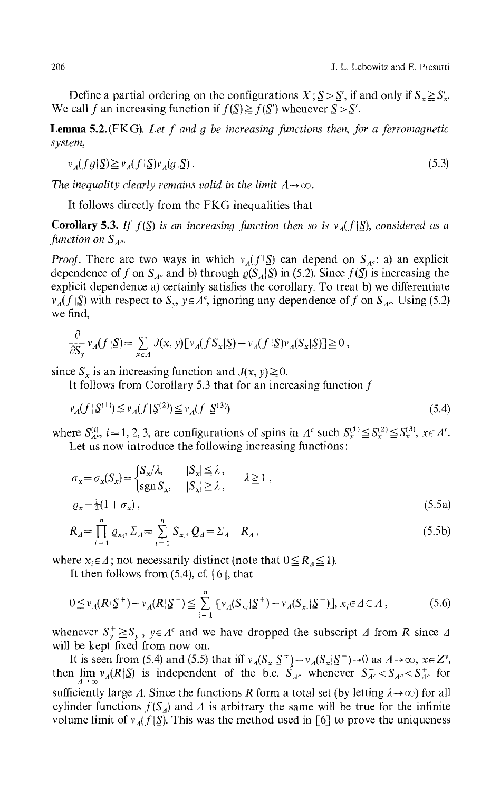Define a partial ordering on the configurations  $X$ ;  $S > S'$ , if and only if  $S_x \geq S'_x$ . We call *f* an increasing function if  $f(\underline{S}) \ge f(\underline{S}')$  whenever  $\underline{S} > \underline{S}'$ .

**Lemma** 5.2. (FKG). *Let f and g be increasing functions then, for a ferromagnetic system,*

$$
\nu_A(fg|\underline{S}) \ge \nu_A(f|\underline{S})\nu_A(g|\underline{S})\,. \tag{5.3}
$$

*The inequality clearly remains valid in the limit*  $\Lambda \rightarrow \infty$ .

It follows directly from the FKG inequalities that

**Corollary 5.3.** *If f*( $\mathcal{S}$ ) is an increasing function then so is  $v_A(f|\mathcal{S})$ , considered as a *function on S*<sub>*Λc</sub>*.</sub>

*Proof.* There are two ways in which  $v_A(f|\S)$  can depend on  $S_A$ : a) an explicit dependence of f on  $S_{A^c}$  and b) through  $\varrho(S_A|\Sigma)$  in (5.2). Since  $f(\Sigma)$  is increasing the explicit dependence a) certainly satisfies the corollary. To treat b) we differentiate *v*<sub>*Λ</sub>*(*f* |<u>S</u>) with respect to *S<sub>y</sub>, y e A*<sup>c</sup>, ignoring any dependence of *f* on *S<sub><i>ΛC</sub>*. Using (5.2)</sub></sub> we find,

$$
\frac{\partial}{\partial S_y} v_A(f|\mathbf{\underline{S}}) = \sum_{x \in A} J(x, y) \left[ v_A(fS_x|\mathbf{\underline{S}}) - v_A(f|\mathbf{\underline{S}}) v_A(S_x|\mathbf{\underline{S}}) \right] \ge 0,
$$

since  $S_x$  is an increasing function and  $J(x, y) \ge 0$ .

It follows from Corollary 5.3 that for an increasing function  $f$ 

$$
\nu_A(f | \mathfrak{L}^{(1)}) \leq \nu_A(f | \mathfrak{L}^{(2)}) \leq \nu_A(f | \mathfrak{L}^{(3)})
$$
\n(5.4)

where  $S_{\Lambda}^{(i)}$ ,  $i = 1, 2, 3$ , are configurations of spins in  $\Lambda^c$  such  $S_x^{(1)} \leq S_x^{(2)} \leq S_x^{(3)}$ ,  $x \in \Lambda^c$ . Let us now introduce the following increasing functions:

$$
\sigma_x = \sigma_x(S_x) = \begin{cases} S_x/\lambda, & |S_x| \le \lambda \\ \text{sgn } S_x, & |S_x| \ge \lambda, \end{cases} \quad \lambda \ge 1,
$$
\n
$$
\rho_x = \frac{1}{2}(1 + \sigma_x),
$$
\n
$$
R_A = \prod_{i=1}^n \rho_{x_i}, \Sigma_A = \sum_{i=1}^n S_{x_i}, \rho_A = \Sigma_A - R_A,\tag{5.5b}
$$

where  $x_i \in \Lambda$ ; not necessarily distinct (note that  $0 \le R_\Lambda \le 1$ ).

It then follows from  $(5.4)$ , cf.  $\lceil 6 \rceil$ , that

$$
0 \leq v_A(R|\mathbf{S}^+) - v_A(R|\mathbf{S}^-) \leq \sum_{i=1}^n \left[ v_A(S_{x_i}|\mathbf{S}^+) - v_A(S_{x_i}|\mathbf{S}^-)\right], x_i \in \Delta \subset \Lambda,
$$
 (5.6)

whenever  $S_{\nu}^{+} \geq S_{\nu}^{-}$ ,  $y \in A^{c}$  and we have dropped the subscript  $\Delta$  from  $R$  since  $\Delta$ will be kept fixed from now on.

It is seen from (5.4) and (5.5) that iff  $v_A(S_x | \underline{S}^+) - v_A(S_x | \underline{S}^-) \rightarrow 0$  as  $A \rightarrow \infty$ ,  $x \in Z^v$ , then  $\lim_{A \to \infty} v_A(R|\mathcal{S})$  is independent of the b.c.  $\hat{S}_{Ac}$  whenever  $S_{Ac}^- < S_{Ac} < S_{Ac}^+$  for sufficiently large *Λ*. Since the functions *R* form a total set (by letting  $λ→∞$ ) for all cylinder functions  $f(S_A)$  and  $\Delta$  is arbitrary the same will be true for the infinite volume limit of  $v_A(f|S)$ . This was the method used in [6] to prove the uniqueness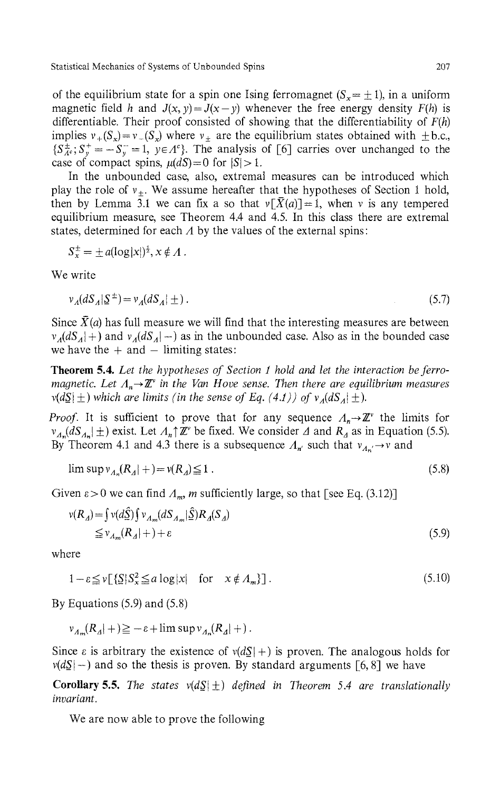of the equilibrium state for a spin one Ising ferromagnet  $(S_x = \pm 1)$ , in a uniform magnetic field h and  $J(x, y) = J(x - y)$  whenever the free energy density  $F(h)$  is differentiable. Their proof consisted of showing that the differentiability of *F(h)* implies  $v_+(S_x) = v_-(S_x)$  where  $v_{\pm}$  are the equilibrium states obtained with  $\pm$  b.c.,  ${S_{A^c}^{\pm}$ ;  $S_y^+ = -S_y^- = 1$ ,  $y \in A^c$ . The analysis of [6] carries over unchanged to the case of compact spins,  $\mu(dS) = 0$  for  $|S| > 1$ .

In the unbounded case, also, extremal measures can be introduced which play the role of  $v_{\pm}$ . We assume hereafter that the hypotheses of Section 1 hold, then by Lemma 3.1 we can fix a so that  $v[X(a)] = 1$ , when v is any tempered equilibrium measure, see Theorem 4.4 and 4.5. In this class there are extremal states, determined for each *A* by the values of the external spins :

$$
S_x^{\pm} = \pm a(\log|x|)^{\frac{1}{2}}, x \notin \Lambda.
$$

We write

$$
v_A(dS_A|\underline{S}^{\pm}) = v_A(dS_A|\pm). \tag{5.7}
$$

Since  $\bar{X}(a)$  has full measure we will find that the interesting measures are between  $v_A(dS_A|+)$  and  $v_A(dS_A|-)$  as in the unbounded case. Also as in the bounded case we have the  $+$  and  $-$  limiting states:

**Theorem 5.4.** *Let the hypotheses of Section 1 hold and let the interaction be ferromagnetic. Let*  $\Lambda_n \rightarrow \mathbb{Z}^\circ$  *in the Van Hove sense. Then there are equilibrium measures*  $v(dS | \pm)$  which are limits (in the sense of Eq. (4.1)) of  $v_A(dS_A | \pm)$ .

*Proof.* It is sufficient to prove that for any sequence  $\Lambda_n \to \mathbb{Z}^{\nu}$  the limits for  $v_{A_n}(dS_{A_n}|\pm)$  exist. Let  $A_n \uparrow \mathbb{Z}^n$  be fixed. We consider  $\Delta$  and  $R_\Delta$  as in Equation (5.5). By Theorem 4.1 and 4.3 there is a subsequence  $Λ<sub>n'</sub>$  such that  $ν<sub>Λ<sub>n'</sub> → ν</sub>$  and

$$
\limsup v_{A_n}(R_A|+) = v(R_A) \le 1 \tag{5.8}
$$

Given  $\varepsilon > 0$  we can find  $\Lambda_m$ , m sufficiently large, so that [see Eq. (3.12)]

$$
v(R_A) = \int v(d\Sigma) \int v_{A_m}(dS_{A_m} | \Sigma) R_A(S_A)
$$
  
\n
$$
\leq v_{A_m}(R_A | +) + \varepsilon
$$
\n(5.9)

where

$$
1 - \varepsilon \leq v \left[ \sum_{i} |S_{\mathbf{x}}^2 \leq a \log|x| \quad \text{for} \quad \mathbf{x} \notin A_m \right]. \tag{5.10}
$$

By Equations (5.9) and (5.8)

 $v_{A_m}(R_A|+) \ge -\varepsilon + \limsup v_{A_n}(R_A|+)$ .

Since  $\varepsilon$  is arbitrary the existence of  $v(dS| +)$  is proven. The analogous holds for  $v(dS \mid -)$  and so the thesis is proven. By standard arguments [6, 8] we have

**Corollary 5.5.** The states  $v(dS|\pm)$  defined in Theorem 5.4 are translationally *invariant.*

We are now able to prove the following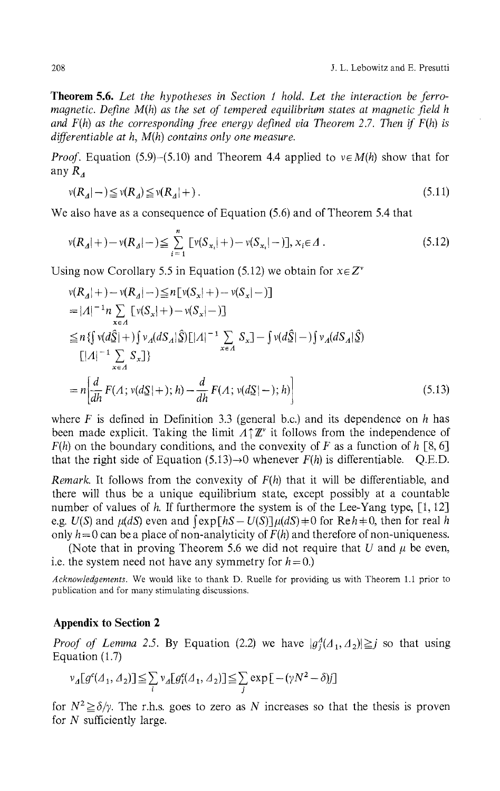**Theorem 5.6.** *Let the hypotheses in Section 1 hold. Let the interaction be ferromagnetic. Define M(h) as the set of tempered equilibrium states at magnetic field h and F(h) as the corresponding free energy defined via Theorem* 2.7. *Then if F(h) is differentiable at h, M(h) contains only one measure.*

*Proof.* Equation (5.9)–(5.10) and Theorem 4.4 applied to  $v \in M(h)$  show that for any  $R_4$ 

$$
\nu(R_A|-)\leqq \nu(R_A)\leqq \nu(R_A|+). \tag{5.11}
$$

We also have as a consequence of Equation (5.6) and of Theorem 5.4 that

$$
v(R_A|+) - v(R_A|+) \le \sum_{i=1}^n [v(S_{x_i}|+) - v(S_{x_i}|-)], x_i \in \Delta.
$$
 (5.12)

Using now Corollary 5.5 in Equation (5.12) we obtain for  $x \in Z^v$ 

$$
v(R_A|+) - v(R_A|-) \le n[v(S_x|+) - v(S_x|-)]
$$
  
=|A|<sup>-1</sup>n  $\sum_{x \in A} [v(S_x|+) - v(S_x|-)]$   

$$
\le n \{ \int v(d\hat{S}|+) \int v_A(dS_A|\hat{S})[|A|^{-1} \sum_{x \in A} S_x] - \int v(d\hat{S}|-) \int v_A(dS_A|\hat{S})
$$
  

$$
[|A|^{-1} \sum_{x \in A} S_x] \}
$$
  
= n  $\left[ \frac{d}{dh} F(A; v(dS|+); h) - \frac{d}{dh} F(A; v(dS|-); h) \right]$  (5.13)

where *F* is defined in Definition 3.3 (general b.c.) and its dependence on *h* has been made explicit. Taking the limit  $A\uparrow\mathbb{Z}^{\nu}$  it follows from the independence of  $F(h)$  on the boundary conditions, and the convexity of F as a function of h [8, 6] that the right side of Equation  $(5.13) \rightarrow 0$  whenever  $F(h)$  is differentiable. Q.E.D.

*Remark.* It follows from the convexity of *F(h)* that it will be differentiable, and there will thus be a unique equilibrium state, except possibly at a countable number of values of h. If furthermore the system is of the Lee-Yang type, [1, 12] e.g.  $U(S)$  and  $\mu(dS)$  even and  $\int \exp\left[hS - U(S)\right]\mu(dS) + 0$  for Re $h \neq 0$ , then for real h only  $h = 0$  can be a place of non-analyticity of  $F(h)$  and therefore of non-uniqueness.

(Note that in proving Theorem 5.6 we did not require that *U* and *μ* be even, i.e. the system need not have any symmetry for  $h = 0$ .)

*Acknowledgements.* We would like to thank D. Ruelle for providing us with Theorem 1.1 prior to publication and for many stimulating discussions.

## **Appendix to Section 2**

*Proof of Lemma 2.5.* By Equation (2.2) we have  $|g_j^A(A_1, A_2)| \geq j$  so that using Equation (1.7)

$$
\nu_A[g^{\epsilon}(A_1, A_2)] \leq \sum_i \nu_A[g_i^{\epsilon}(A_1, A_2)] \leq \sum_j \exp[-(\gamma N^2 - \delta)j]
$$

for  $N^2 \ge \delta/\gamma$ . The r.h.s. goes to zero as N increases so that the thesis is proven for *N* sufficiently large.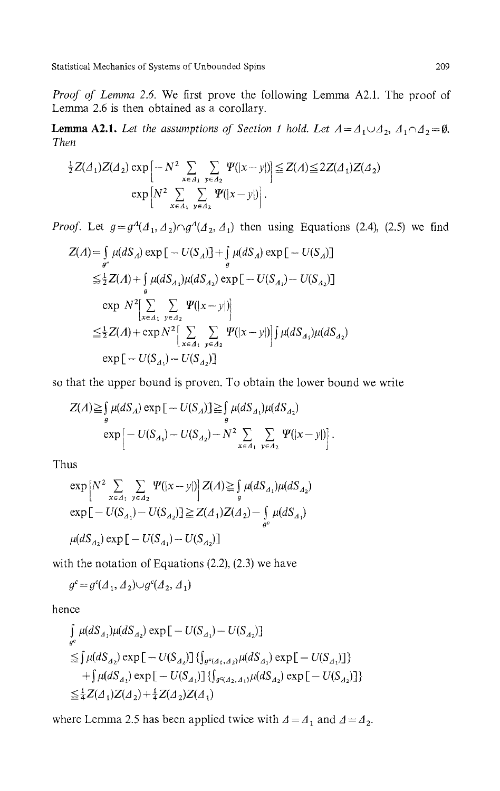*Proof of Lemma 2.6.* We first prove the following Lemma A2.1. The proof of Lemma 2.6 is then obtained as a corollary.

**Lemma A2.1.** Let the assumptions of Section 1 hold. Let  $A = A_1 \cup A_2$ ,  $A_1 \cap A_2 = \emptyset$ . *Then*

$$
\frac{1}{2}Z(\Delta_1)Z(\Delta_2)\exp\left[-N^2\sum_{x\in\Delta_1}\sum_{y\in\Delta_2}\Psi(|x-y|)\right]\leq Z(\Delta)\leq 2Z(\Delta_1)Z(\Delta_2)
$$
\n
$$
\exp\left[N^2\sum_{x\in\Delta_1}\sum_{y\in\Delta_2}\Psi(|x-y|)\right].
$$

*Proof.* Let  $g = g^A(A_1, A_2) \cap g^A(A_2, A_1)$  then using Equations (2.4), (2.5) we find

$$
Z(A) = \int_{g^c} \mu(dS_A) \exp[-U(S_A)] + \int_{g} \mu(dS_A) \exp[-U(S_A)]
$$
  
\n
$$
\leq \frac{1}{2}Z(A) + \int_{g} \mu(dS_{A_1})\mu(dS_{A_2}) \exp[-U(S_{A_1}) - U(S_{A_2})]
$$
  
\n
$$
\exp N^2 \Big[ \sum_{x \in A_1} \sum_{y \in A_2} \Psi(|x - y|) \Big]
$$
  
\n
$$
\leq \frac{1}{2}Z(A) + \exp N^2 \Big[ \sum_{x \in A_1} \sum_{y \in A_2} \Psi(|x - y|) \Big] \int_{g} \mu(dS_{A_1})\mu(dS_{A_2})
$$
  
\n
$$
\exp[-U(S_{A_1}) - U(S_{A_2})]
$$

so that the upper bound is proven. To obtain the lower bound we write

$$
Z(A) \geq \int_{g} \mu(dS_A) \exp \left[ -U(S_A) \right] \geq \int_{g} \mu(dS_{A_1}) \mu(dS_{A_2})
$$
  
 
$$
\exp \left[ -U(S_{A_1}) - U(S_{A_2}) - N^2 \sum_{x \in A_1} \sum_{y \in A_2} \Psi(|x - y|) \right].
$$

Thus

$$
\exp\left[N^2 \sum_{x \in A_1} \sum_{y \in A_2} \Psi(|x - y|)\right] Z(A) \ge \int_g \mu(dS_{A_1}) \mu(dS_{A_2})
$$
  
\n
$$
\exp\left[-U(S_{A_1}) - U(S_{A_2})\right] \ge Z(A_1)Z(A_2) - \int_{g^c} \mu(dS_{A_1})
$$
  
\n
$$
\mu(dS_{A_2}) \exp\left[-U(S_{A_1}) - U(S_{A_2})\right]
$$

with the notation of Equations (2.2), (2.3) we have

$$
g^c = g^c(\Lambda_1, \Lambda_2) \cup g^c(\Lambda_2, \Lambda_1)
$$

hence

$$
\int_{g^c} \mu(dS_{A_1})\mu(dS_{A_2}) \exp[-U(S_{A_1}) - U(S_{A_2})]
$$
\n
$$
\leq \int \mu(dS_{A_2}) \exp[-U(S_{A_2})] \{ \int_{g^c(A_1, A_2)} \mu(dS_{A_1}) \exp[-U(S_{A_1})] \} + \int \mu(dS_{A_1}) \exp[-U(S_{A_1})] \{ \int_{g^c(A_2, A_1)} \mu(dS_{A_2}) \exp[-U(S_{A_2})] \} \leq \frac{1}{4} Z(A_1) Z(A_2) + \frac{1}{4} Z(A_2) Z(A_1)
$$

where Lemma 2.5 has been applied twice with  $\Delta = A_1$  and  $\Delta = A_2$ .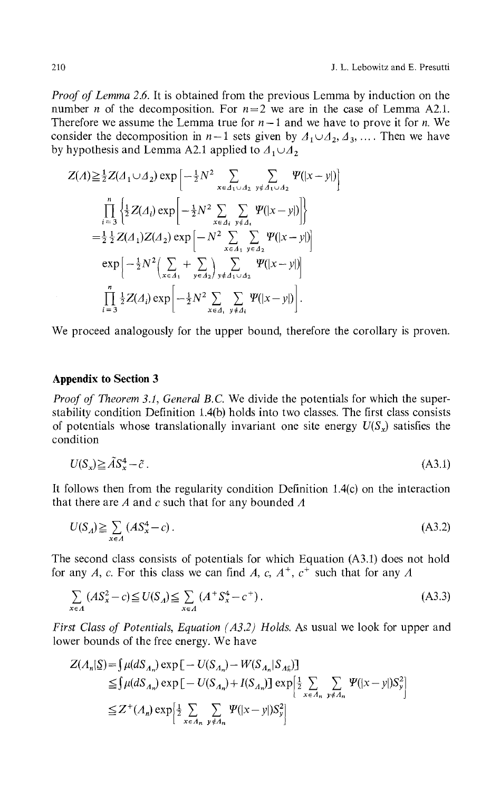*Proof of Lemma 2.6.* It is obtained from the previous Lemma by induction on the number *n* of the decomposition. For  $n = 2$  we are in the case of Lemma A2.1. Therefore we assume the Lemma true for  $n-1$  and we have to prove it for *n*. We consider the decomposition in  $n-1$  sets given by  $A_1 \cup A_2, A_3, \ldots$ . Then we have by hypothesis and Lemma A2.1 applied to  $\Lambda_1 \cup \Lambda_2$ 

$$
Z(A) \geq \frac{1}{2} Z(A_1 \cup A_2) \exp \left[ -\frac{1}{2} N^2 \sum_{x \in A_1 \cup A_2} \sum_{y \notin A_1 \cup A_2} \Psi(|x - y|) \right]
$$
  
\n
$$
\prod_{i=3}^n \left\{ \frac{1}{2} Z(A_i) \exp \left[ -\frac{1}{2} N^2 \sum_{x \in A_i} \sum_{y \notin A_i} \Psi(|x - y|) \right] \right\}
$$
  
\n
$$
= \frac{1}{2} \frac{1}{2} Z(A_1) Z(A_2) \exp \left[ -N^2 \sum_{x \in A_1} \sum_{y \in A_2} \Psi(|x - y|) \right]
$$
  
\n
$$
\exp \left[ -\frac{1}{2} N^2 \left( \sum_{x \in A_1} + \sum_{y \in A_2} \sum_{y \notin A_1 \cup A_2} \Psi(|x - y|) \right) \right]
$$
  
\n
$$
\prod_{i=3}^n \frac{1}{2} Z(A_i) \exp \left[ -\frac{1}{2} N^2 \sum_{x \in A_1} \sum_{y \notin A_i} \Psi(|x - y|) \right].
$$

We proceed analogously for the upper bound, therefore the corollary is proven.

# **Appendix to Section 3**

*Proof of Theorem 3.1, General B.C.* We divide the potentials for which the superstability condition Definition 1.4(b) holds into two classes. The first class consists of potentials whose translationally invariant one site energy  $U(S_x)$  satisfies the condition

$$
U(S_x) \geq \tilde{A}S_x^4 - \tilde{c} \tag{A3.1}
$$

It follows then from the regularity condition Definition 1.4(c) on the interaction that there are *A* and *c* such that for any bounded *A*

$$
U(S_A) \geq \sum_{x \in A} (AS_x^4 - c). \tag{A3.2}
$$

The second class consists of potentials for which Equation (A3.1) does not hold for any A, c. For this class we can find A, c,  $A^+$ ,  $c^+$  such that for any A

$$
\sum_{x \in A} (AS_x^2 - c) \le U(S_A) \le \sum_{x \in A} (A^+ S_x^4 - c^+).
$$
\n(A3.3)

*First Class of Potentials, Equation (A3 2) Holds.* As usual we look for upper and lower bounds of the free energy. We have

$$
Z(A_n|\underline{S}) = \int \mu(dS_{A_n}) \exp \left[ -U(S_{A_n}) - W(S_{A_n}|S_{A_n}) \right]
$$
  
\n
$$
\leq \int \mu(dS_{A_n}) \exp \left[ -U(S_{A_n}) + I(S_{A_n}) \right] \exp \left[ \frac{1}{2} \sum_{x \in A_n} \sum_{y \notin A_n} \Psi(|x - y|) S_y^2 \right]
$$
  
\n
$$
\leq Z^+(A_n) \exp \left[ \frac{1}{2} \sum_{x \in A_n} \sum_{y \notin A_n} \Psi(|x - y|) S_y^2 \right]
$$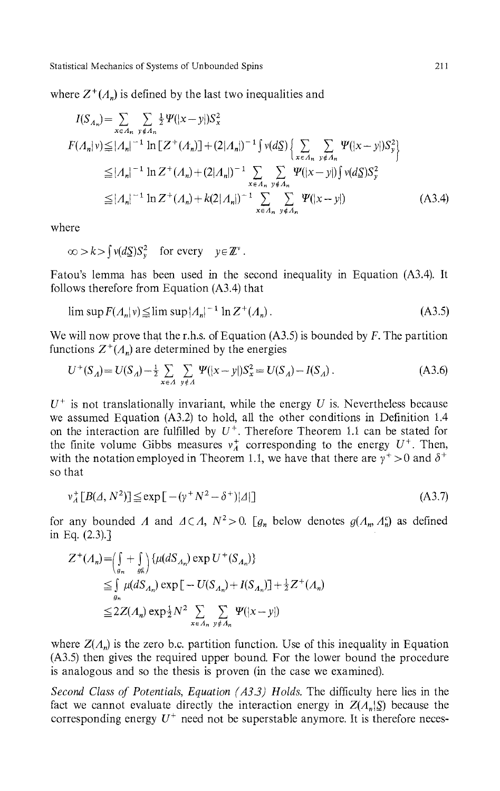where  $Z^+(A_n)$  is defined by the last two inequalities and

$$
I(S_{A_n}) = \sum_{x \in A_n} \sum_{y \notin A_n} \frac{1}{2} \Psi(|x - y|) S_x^2
$$
  
\n
$$
F(A_n|v) \le |A_n|^{-1} \ln \left[ Z^+(A_n) \right] + (2|A_n|)^{-1} \int v(dS) \left\{ \sum_{x \in A_n} \sum_{y \notin A_n} \Psi(|x - y|) S_y^2 \right\}
$$
  
\n
$$
\le |A_n|^{-1} \ln Z^+(A_n) + (2|A_n|)^{-1} \sum_{x \in A_n} \sum_{y \notin A_n} \Psi(|x - y|) \int v(dS) S_y^2
$$
  
\n
$$
\le |A_n|^{-1} \ln Z^+(A_n) + k(2|A_n|)^{-1} \sum_{x \in A_n} \sum_{y \notin A_n} \Psi(|x - y|)
$$
 (A3.4)

where

$$
\infty > k > \int v(d\underline{S})S_y^2 \quad \text{for every} \quad y \in \mathbb{Z}^{\nu}.
$$

Fatou's lemma has been used in the second inequality in Equation (A3.4). It follows therefore from Equation  $(A3.4)$  that

$$
\limsup F(A_n|\nu) \leq \limsup |A_n|^{-1} \ln Z^+(A_n). \tag{A3.5}
$$

We will now prove that the r.h.s. of Equation  $(A3.5)$  is bounded by F. The partition functions  $Z^+(A_n)$  are determined by the energies

$$
U^{+}(S_A) = U(S_A) - \frac{1}{2} \sum_{x \in A} \sum_{y \notin A} \Psi(|x - y|) S_x^2 = U(S_A) - I(S_A).
$$
 (A3.6)

 $U^+$  is not translationally invariant, while the energy  $U$  is. Nevertheless because we assumed Equation (A3.2) to hold, all the other conditions in Definition 1.4 on the interaction are fulfilled by  $U^+$ . Therefore Theorem 1.1 can be stated for the finite volume Gibbs measures  $v^+$  corresponding to the energy  $U^+$ . Then, with the notation employed in Theorem 1.1, we have that there are  $y^+ > 0$  and  $\delta^+$ so that

$$
\mathbf{v}_A^+ [B(\mathcal{A}, N^2)] \le \exp\left[-(\mathbf{v}^+ N^2 - \delta^+)|\mathcal{A}|\right] \tag{A3.7}
$$

for any bounded *Λ* and  $\Delta \subset A$ ,  $N^2 > 0$ . [ $g_n$  below denotes  $g(A_n, A_n^c)$  as defined in Eq. (2.3).]

$$
Z^{+}(A_{n}) = \left(\int_{g_{n}} + \int_{g_{n}}\right) \{\mu(dS_{A_{n}}) \exp U^{+}(S_{A_{n}})\}\
$$
  
\n
$$
\leq \int_{g_{n}} \mu(dS_{A_{n}}) \exp[-U(S_{A_{n}}) + I(S_{A_{n}})] + \frac{1}{2}Z^{+}(A_{n})\]
$$
  
\n
$$
\leq 2Z(A_{n}) \exp{\frac{1}{2}N^{2}} \sum_{x \in A_{n}} \sum_{y \notin A_{n}} \Psi(|x - y|)
$$

where  $Z(A_n)$  is the zero b.c. partition function. Use of this inequality in Equation (A3.5) then gives the required upper bound. For the lower bound the procedure is analogous and so the thesis is proven (in the case we examined).

*Second Class of Potentials, Equation (A3 3) Holds.* The difficulty here lies in the fact we cannot evaluate directly the interaction energy in  $Z(A_n | \mathcal{S})$  because the corresponding energy  $U^+$  need not be superstable anymore. It is therefore neces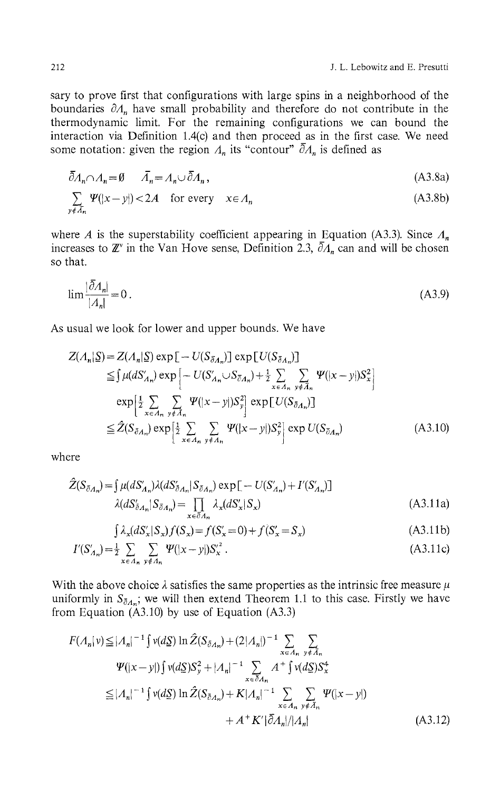sary to prove first that configurations with large spins in a neighborhood of the boundaries *8Λ<sup>n</sup>* have small probability and therefore do not contribute in the thermodynamic limit. For the remaining configurations we can bound the interaction via Definition 1.4(c) and then proceed\_as in the first case. We need some notation: given the region  $\Lambda_n$  its "contour"  $\bar{\partial}\Lambda_n$  is defined as

$$
\bar{\partial}A_n \cap A_n = \emptyset \qquad \bar{A}_n = A_n \cup \bar{\partial}A_n, \tag{A3.8a}
$$
\n
$$
\sum_{y \notin \bar{A}_n} \Psi(|x - y|) < 2A \quad \text{for every} \quad x \in A_n \tag{A3.8b}
$$

where *A* is the superstability coefficient appearing in \_Equation (A3.3). Since *Λ<sup>n</sup>* increases to **Ζ**<sup>*r*</sup> in the Van Hove sense, Definition 2.3,  $\partial A_n$  can and will be chosen so that.

$$
\lim \frac{|\bar{\partial} A_n|}{|A_n|} = 0 \tag{A3.9}
$$

As usual we look for lower and upper bounds. We have

$$
Z(A_n|S) = Z(A_n|S) \exp\left[-U(S_{\delta A_n})\right] \exp\left[U(S_{\delta A_n})\right]
$$
  
\n
$$
\leq \int \mu(dS'_{A_n}) \exp\left[-U(S'_{A_n} \cup S_{\delta A_n}) + \frac{1}{2} \sum_{x \in A_n} \sum_{y \notin \tilde{A}_n} \Psi(|x - y|)S_x^2\right]
$$
  
\n
$$
\exp\left[\frac{1}{2} \sum_{x \in A_n} \sum_{y \notin \tilde{A}_n} \Psi(|x - y|)S_y^2\right] \exp\left[U(S_{\delta A_n})\right]
$$
  
\n
$$
\leq \hat{Z}(S_{\delta A_n}) \exp\left[\frac{1}{2} \sum_{x \in A_n} \sum_{y \notin A_n} \Psi(|x - y|)S_y^2\right] \exp U(S_{\delta A_n}) \tag{A3.10}
$$

where

$$
\hat{Z}(S_{\bar{\partial}_{A_n}}) = \int \mu(dS'_{A_n})\lambda(dS'_{\bar{\partial}_{A_n}}|S_{\bar{\partial}_{A_n}}) \exp[-U(S'_{A_n}) + I'(S'_{A_n})]
$$
\n
$$
\lambda(dS'_{\bar{\partial}_{A_n}}|S_{\bar{\partial}_{A_n}}) = \prod_{x \in \bar{\partial}_{A_n}} \lambda_x(dS'_x|S_x)
$$
\n(A3.11a)

$$
\int \lambda_x (dS'_x | S_x) f(S_x) = f(S'_x = 0) + f(S'_x = S_x)
$$
\n(A3.11b)

$$
I'(S'_{A_n}) = \frac{1}{2} \sum_{x \in A_n} \sum_{y \notin A_n} \Psi(|x - y|) S_x'^2.
$$
 (A3.11c)

With the above choice  $\lambda$  satisfies the same properties as the intrinsic free measure  $\mu$ uniformly in  $S_{\bar{\partial}A_n}$ ; we will then extend Theorem 1.1 to this case. Firstly we have from Equation  $(A3.10)$  by use of Equation  $(A3.3)$ 

$$
F(A_n|v) \le |A_n|^{-1} \int v(dS) \ln \hat{Z}(S_{\bar{\partial}A_n}) + (2|A_n|)^{-1} \sum_{x \in A_n} \sum_{y \notin \bar{A}_n} \n\Psi(|x-y|) \int v(dS) S_y^2 + |A_n|^{-1} \sum_{x \in \bar{\partial}A_n} A^+ \int v(dS) S_x^4 \n\le |A_n|^{-1} \int v(dS) \ln \hat{Z}(S_{\bar{\partial}A_n}) + K|A_n|^{-1} \sum_{x \in A_n} \sum_{y \notin \bar{A}_n} \Psi(|x-y|) \n+ A^+ K' |\bar{\partial}A_n|/|A_n|
$$
\n(A3.12)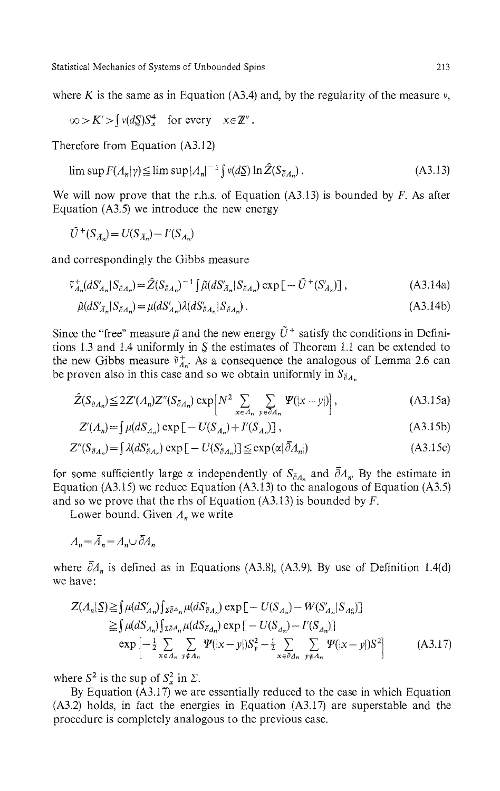where  $K$  is the same as in Equation (A3.4) and, by the regularity of the measure  $v$ ,

$$
\infty > K' > \int v(d\underline{S})S_x^4 \quad \text{for every} \quad x \in \mathbb{Z}^{\nu}.
$$

Therefore from Equation (A3.12)

$$
\limsup F(A_n|\gamma) \leq \limsup |A_n|^{-1} \int v(d\Sigma) \ln \hat{Z}(S_{\bar{\partial}A_n}). \tag{A3.13}
$$

We will now prove that the r.h.s. of Equation (A3.13) is bounded by *F*. As after Equation  $(A3.5)$  we introduce the new energy

$$
\tilde{U}^+(S_{\tilde{A}_n}) = U(S_{\tilde{A}_n}) - I'(S_{A_n})
$$

and correspondingly the Gibbs measure

$$
\tilde{v}_{\Lambda_n}^+(dS_{\bar{A}_n}^{\prime}|S_{\bar{\partial}_{\Lambda_n}}) = \hat{Z}(S_{\bar{\partial}_{\Lambda_n}})^{-1} \iint \tilde{\mu}(dS_{\bar{A}_n}^{\prime}|S_{\bar{\partial}_{\Lambda_n}}) \exp\left[-\tilde{U}^+(S_{\bar{A}_n}^{\prime})\right],\tag{A3.14a}
$$

$$
\tilde{\mu}(dS'_{\bar{A}_n}|S_{\bar{\partial}A_n}) = \mu(dS'_{A_n})\lambda(dS_{\bar{\partial}A_n}|S_{\bar{\partial}A_n}).\tag{A3.14b}
$$

Since the "free" measure  $\tilde{\mu}$  and the new energy  $\tilde{U}^+$  satisfy the conditions in Definitions 1.3 and 1.4 uniformly in *S* the estimates of Theorem 1.1 can be extended to the new Gibbs measure  $\tilde{v}^+_{A_n}$ . As a consequence the analogous of Lemma 2.6 can be proven also in this case and so we obtain uniformly in  $S_{\tilde{\theta}A_n}$ 

$$
\hat{Z}(S_{\bar{\partial}\Lambda_n}) \leq 2Z'(\Lambda_n)Z''(S_{\bar{\partial}\Lambda_n})\exp\left[N^2\sum_{x\in\Lambda_n}\sum_{y\in\bar{\partial}\Lambda_n}\Psi(|x-y|)\right],\tag{A3.15a}
$$

$$
Z'(A_n) = \int \mu(dS_{A_n}) \exp\left[-U(S_{A_n}) + I'(S_{A_n})\right],
$$
\n(A3.15b)

$$
Z''(S_{\bar{\partial}A_n}) = \int \lambda (dS'_{\bar{\partial}A_n}) \exp \left[ -U(S'_{\bar{\partial}A_n}) \right] \leq \exp \left( \alpha \vert \bar{\partial}A_n \vert \right) \tag{A3.15c}
$$

for some sufficiently large  $\alpha$  independently of  $S_{\bar{\partial}A_n}$  and  $\bar{\partial}A_n$ . By the estimate in Equation (A3.15) we reduce Equation (A3.13) to the analogous of Equation (A3.5) and so we prove that the rhs of Equation (A3. 13) is bounded by *F.*

Lower bound. Given *Λ<sup>n</sup>* we write

$$
A_n = \bar{A}_n = A_n \cup \bar{\partial} A_n
$$

where  $\partial \Delta_n$  is defined as in Equations (A3.8), (A3.9). By use of Definition 1.4(d) we have:

$$
Z(A_n|S) \geq \int \mu(dS'_{A_n}) \int \chi_{\bar{\partial}A_n} \mu(dS'_{\bar{\partial}A_n}) \exp \left[ -U(S_{A_n}) - W(S'_{A_n}|S_{A_{\bar{n}}}) \right]
$$
  
\n
$$
\geq \int \mu(dS_{A_n}) \int \chi_{\bar{\partial}A_n} \mu(dS_{\bar{\partial}A_n}) \exp \left[ -U(S_{A_n}) - I'(S_{A_n}) \right]
$$
  
\n
$$
\exp \left[ -\frac{1}{2} \sum_{x \in A_n} \sum_{y \notin A_n} \Psi(|x-y|) S_y^2 - \frac{1}{2} \sum_{x \in \bar{\partial}A_n} \sum_{y \notin A_n} \Psi(|x-y|) S^2 \right]
$$
(A3.17)

where  $S^2$  is the sup of  $S^2$  in  $\Sigma$ .

By Equation (A3.17) we are essentially reduced to the case in which Equation (A3.2) holds, in fact the energies in Equation (A3.17) are superstable and the procedure is completely analogous to the previous case.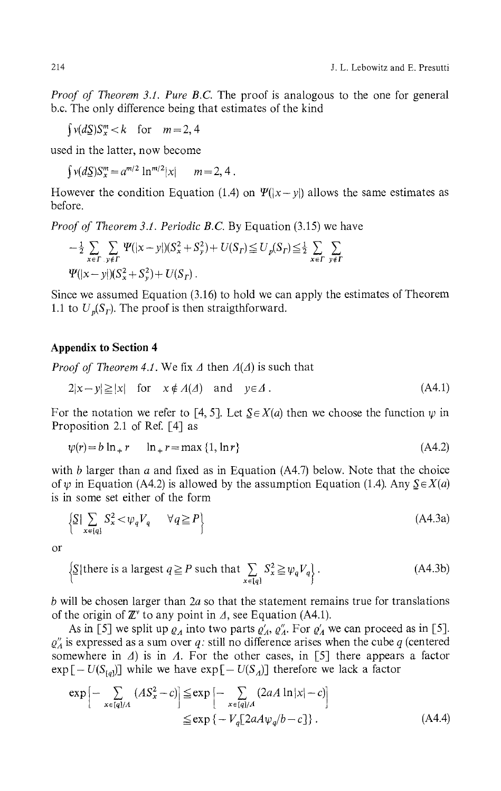*Proof of Theorem 3.1. Pure B.C.* The proof is analogous to the one for general b.c. The only difference being that estimates of the kind

 $\int v(dS)S_{r}^{m} < k$  for  $m = 2, 4$ 

used in the latter, now become

 $\int v(dS)S_x^m = a^{m/2} \ln^{m/2}|x|$  *m* = 2, 4.

However the condition Equation (1.4) on  $\Psi(|x-y|)$  allows the same estimates as before.

*Proof of Theorem 3.1. Periodic B.C.* By Equation (3.15) we have

$$
-\frac{1}{2}\sum_{x\in\Gamma} \sum_{y\notin\Gamma} \Psi(|x-y|)(S_x^2+S_y^2)+U(S_{\Gamma})\leq U_p(S_{\Gamma})\leq \frac{1}{2}\sum_{x\in\Gamma} \sum_{y\notin\Gamma} \Psi(|x-y|)(S_x^2+S_y^2)+U(S_{\Gamma}).
$$

Since we assumed Equation (3.16) to hold we can apply the estimates of Theorem 1.1 to  $U_p(S_r)$ . The proof is then straigthforward.

## **Appendix to Section 4**

*Proof of Theorem 4.1.* We fix *Δ* then *A(Δ)* is such that

$$
2|x - y| \ge |x| \quad \text{for} \quad x \notin \Lambda(\Lambda) \quad \text{and} \quad y \in \Lambda. \tag{A4.1}
$$

For the notation we refer to [4, 5]. Let  $S \in X(a)$  then we choose the function  $\psi$  in Proposition 2.1 of Ref. [4] as

$$
\psi(r) = b \ln_+ r \qquad \ln_+ r = \max\{1, \ln r\} \tag{A4.2}
$$

with *b* larger than *a* and fixed as in Equation (A4.7) below. Note that the choice of  $\psi$  in Equation (A4.2) is allowed by the assumption Equation (1.4). Any  $S \in X(a)$ is in some set either of the form

$$
\left\{ \underline{S} \, | \, \sum_{x \in [q]} S_x^2 < \psi_q V_q \quad \forall q \ge P \right\} \tag{A4.3a}
$$

or

$$
\left\{ \underline{S} \mid \text{there is a largest } q \ge P \text{ such that } \sum_{x \in [q]} S_x^2 \ge \psi_q V_q \right\}. \tag{A4.3b}
$$

*b* will be chosen larger than *2a* so that the statement remains true for translations of the origin of *Έ* to any point in *Δ,* see Equation (A4.1).

As in [5] we split up  $\varrho_A$  into two parts  $\varrho'_A$ ,  $\varrho''_A$ . For  $\varrho'_A$  we can proceed as in [5]. *Q'Λ* is expressed as a sum over *q:* still no difference arises when the cube *q* (centered somewhere in *Δ)* is in *A.* For the other cases, in [5] there appears a factor  $\exp[-U(S_{[q]})]$  while we have  $\exp[-U(S_A)]$  therefore we lack a factor

$$
\exp\left[-\sum_{x\in[q]/A} (AS_x^2 - c)\right] \le \exp\left[-\sum_{x\in[q]/A} (2aA\ln|x| - c)\right]
$$
  

$$
\le \exp\left\{-V_q[2aA\psi_q/b - c]\right\}.
$$
 (A4.4)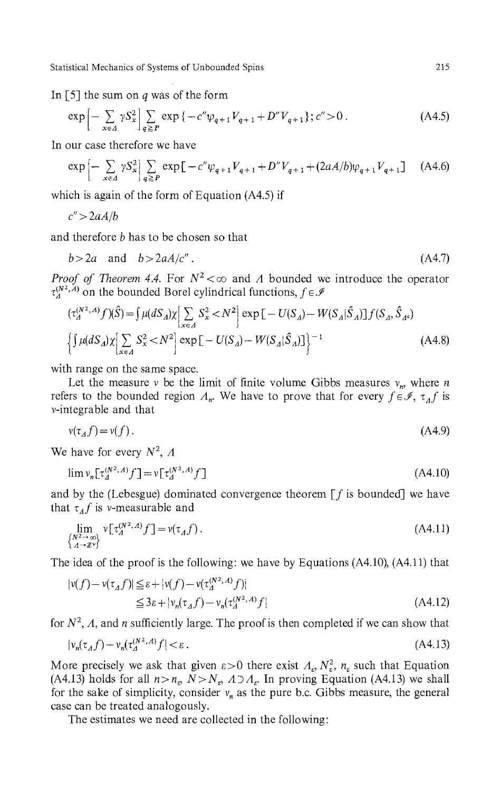In [5] the sum on *q* was of the form

$$
\exp\left[-\sum_{x\in\Delta} \gamma S_x^2\right] \sum_{q\geq P} \exp\left\{-c''\psi_{q+1}V_{q+1} + D''V_{q+1}\right\}; c'' > 0. \tag{A4.5}
$$

In our case therefore we have

$$
\exp\left[-\sum_{x\in A} \gamma S_x^2\right] \sum_{q\ge P} \exp\left[-c''\psi_{q+1}V_{q+1} + D''V_{q+1} + (2aA/b)\psi_{q+1}V_{q+1}\right] \tag{A4.6}
$$

which is again of the form of Equation (A4.5) if

$$
c''\!>\!2aA/b
$$

and therefore *b* has to be chosen so that

$$
b > 2a \quad \text{and} \quad b > 2aA/c'' \,. \tag{A4.7}
$$

*Proof of Theorem 4.4.* For  $N^2 < \infty$  and A bounded we introduce the operator  $\tau_A^{(N^2, A)}$  on the bounded Borel cylindrical functions,  $f \in \mathcal{A}$ 

$$
(\tau_A^{(N^2, A)} f)(\hat{S}) = \int \mu(dS_A) \chi \Big[ \sum_{x \in A} S_x^2 < N^2 \Big] \exp \Big[ - U(S_A) - W(S_A | \hat{S}_A) \Big] f(S_A, \hat{S}_A \epsilon) \n\Big\{ \int \mu(dS_A) \chi \Big[ \sum_{x \in A} S_x^2 < N^2 \Big] \exp \Big[ -U(S_A) - W(S_A | \hat{S}_A) \Big] \Big\}^{-1}
$$
\n(A4.8)

with range on the same space.

Let the measure  $\nu$  be the limit of finite volume Gibbs measures  $\nu_n$ , where *n* refers to the bounded region  $A_n$ . We have to prove that for every  $f \in \mathcal{I}$ ,  $\tau_A f$  is v-integrable and that

$$
v(\tau_A f) = v(f). \tag{A4.9}
$$

We have for every  $N^2$ ,  $\Lambda$ 

$$
\lim_{n} v_n[\tau_A^{(N^2,A)} f] = v[\tau_A^{(N^2,A)} f]
$$
\n(A4.10)

and by the (Lebesgue) dominated convergence theorem  $[f]$  is bounded] we have that  $\tau_A f$  is v-measurable and

$$
\lim_{\substack{N^{2\to\infty}\\ \Lambda \to \mathbb{Z}^\nu}} \mathbf{v} \big[ \tau^{(N^2,A)}_{\Lambda} f \big] = \mathbf{v}(\tau_A f). \tag{A4.11}
$$

The idea of the proof is the following: we have by Equations (A4.10), (A4.ll) that

$$
|\nu(f) - \nu(\tau_A f)| \leq \varepsilon + |\nu(f) - \nu(\tau_A^{(N^2, A)} f)|
$$
  
\n
$$
\leq 3\varepsilon + |\nu_n(\tau_A f) - \nu_n(\tau_A^{(N^2, A)} f|)
$$
\n(A4.12)

for  $N^2$ ,  $\Lambda$ , and *n* sufficiently large. The proof is then completed if we can show that

$$
|v_n(\tau_A f) - v_n(\tau_A^{(N^2, A)} f| < \varepsilon. \tag{A4.13}
$$

More precisely we ask that given  $\epsilon > 0$  there exist  $\Lambda_{\epsilon}, N_{\epsilon}^2$ ,  $n_{\epsilon}$  such that Equation  $(A4.13)$  holds for all  $n>n_e$ ,  $N>N_e$ ,  $A\supset A_e$ . In proving Equation (A4.13) we shall for the sake of simplicity, consider  $v_n$  as the pure b.c. Gibbs measure, the general case can be treated analogously.

The estimates we need are collected in the following: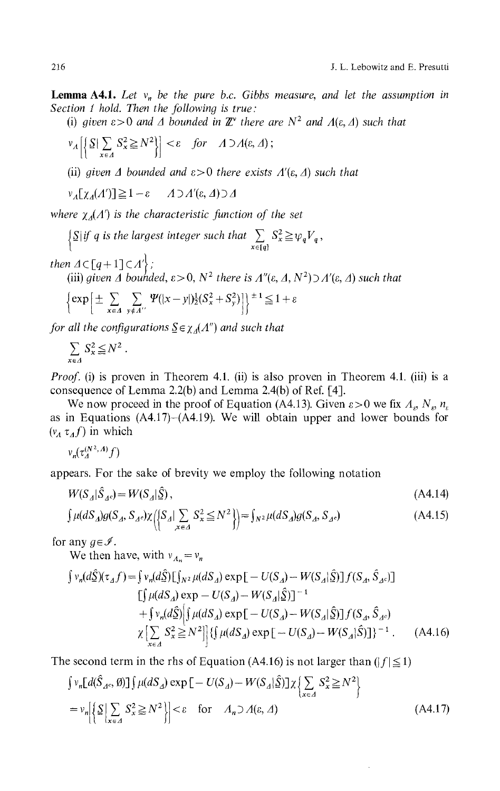**Lemma A4.1.** Let  $v_n$  be the pure b.c. Gibbs measure, and let the assumption in *Section 1 hold. Then the following is true:*

(i) given  $\varepsilon > 0$  and  $\Delta$  bounded in  $\mathbb{Z}^{\nu}$  there are  $N^2$  and  $A(\varepsilon, \Delta)$  such that

$$
\nu_A \left[ \left\{ S \big| \sum_{x \in \Lambda} S_x^2 \ge N^2 \right\} \right] < \varepsilon \quad \text{for} \quad A \supset A(\varepsilon, \Delta) ;
$$

(ii) given  $\varDelta$  bounded and  $\varepsilon > 0$  there exists  $\varLambda'(\varepsilon, \varDelta)$  such that

 $v_A[\gamma_A(A')] \geq 1 - \varepsilon \qquad A \supset A'(\varepsilon, A) \supset A$ 

*where χ<sup>A</sup> (Af ) is the characteristic function of the set*

 $\frac{1}{2}$ *S if q is the largest integer such that*  $\sum_{x \in [q]} S_x^2 \ge \psi_q$ 

*then*  $\Delta C[q+1] \subset \Lambda'$ ;

(iii) given  $\varDelta$  bounded,  $\varepsilon > 0$ ,  $N^2$  there is  $\varLambda''(\varepsilon, \varDelta, N^2) \supset \varDelta'(\varepsilon, \varDelta)$  such that

$$
\left\{\exp\left[\pm\sum_{x\in\Delta}\sum_{y\notin A'}\Psi(|x-y|)^{1}_{2}(S_{x}^{2}+S_{y}^{2})\right]\right\}^{\pm 1}\leq 1+\varepsilon
$$

*for all the configurations*  $\underline{S} \in \chi_{\varDelta}(A'')$  *and such that* 

$$
\sum_{x \in A} S_x^2 \leq N^2.
$$

*Proof.* (i) is proven in Theorem 4.1. (ii) is also proven in Theorem 4.1. (iii) is a consequence of Lemma 2.2(b) and Lemma 2.4(b) of Ref. [4].

We now proceed in the proof of Equation (A4.13). Given  $\varepsilon > 0$  we fix  $A_e$ ,  $N_e$ ,  $n_e$ as in Equations (A4.17)-(A4.19). We will obtain upper and lower bounds for  $(v_A \tau_A f)$  in which

$$
\nu_n(\tau_A^{(N^2,\Lambda)}f)
$$

appears. For the sake of brevity we employ the following notation

$$
W(S_A|\hat{S}_{A^c}) = W(S_A|\hat{\underline{S}}),\tag{A4.14}
$$

$$
\int \mu(dS_A)g(S_A, S_{A^c})\chi\left(\left\{S_A|\sum_{x \in A} S_x^2 \le N^2\right\}\right) = \int_{N^2} \mu(dS_A)g(S_A, S_{A^c})\tag{A4.15}
$$

for any  $g \in \mathcal{I}$ .

We then have, with  $v_{\Lambda_n} = v_n$ 

$$
\int v_n(d\hat{S})(\tau_A f) = \int v_n(d\hat{S}) \left[\int_{N^2} \mu(dS_A) \exp\left[-U(S_A) - W(S_A|\hat{S})\right] f(S_A, \hat{S}_A)\right]
$$
  
\n
$$
\left[\int \mu(dS_A) \exp - U(S_A) - W(S_A|\hat{S})\right]^{-1}
$$
  
\n
$$
+ \int v_n(d\hat{S}) \left[\int \mu(dS_A) \exp\left[-U(S_A) - W(S_A|\hat{S})\right] f(S_A, \hat{S}_A)\right]
$$
  
\n
$$
\chi \left[\sum_{x \in A} S_x^2 \ge N^2\right] \left\{\int \mu(dS_A) \exp\left[-U(S_A) - W(S_A|\hat{S})\right]\right\}^{-1}.
$$
 (A4.16)

The second term in the rhs of Equation (A4.16) is not larger than ( $|f| \le 1$ )

$$
\int v_n [d(\hat{S}_{A^c}, \emptyset)] \int \mu(dS_A) \exp[-U(S_A) - W(S_A|\hat{S})] \chi \left\{ \sum_{x \in A} S_x^2 \ge N^2 \right\}
$$
  
=  $v_n \left[ \sum_{x \in A} S_x^2 \ge N^2 \right] < \varepsilon$  for  $A_n \supset A(\varepsilon, \Delta)$  (A4.17)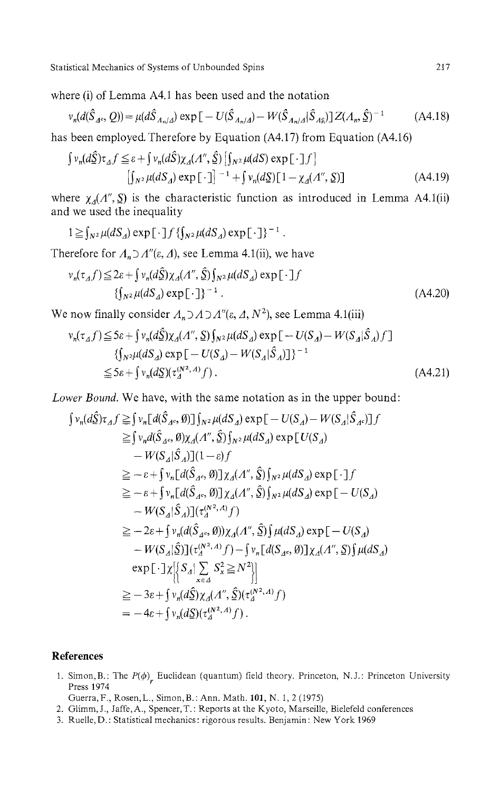where (i) of Lemma A4.1 has been used and the notation

$$
\nu_n(d(\hat{S}_{A^c}, Q)) = \mu(d\hat{S}_{A_n/A}) \exp[-U(\hat{S}_{A_n/A}) - W(\hat{S}_{A_n/A}|\hat{S}_{A_n})]Z(A_n, \hat{S})^{-1}
$$
(A4.18)

has been employed. Therefore by Equation (A4.17) from Equation (A4.16)

$$
\int \nu_n(d\hat{\Sigma})\tau_A f \leq \varepsilon + \int \nu_n(d\hat{\Sigma})\chi_A(\Lambda'', \hat{\Sigma}) \left[ \int_{N^2} \mu(dS) \exp\left[\cdot \right] f \right]
$$

$$
\left[ \int_{N^2} \mu(dS_A) \exp\left[\cdot \right] \right]^{-1} + \int \nu_n(d\Sigma) \left[1 - \chi_A(\Lambda'', \Sigma)\right]
$$
(A4.19)

where *χ<sup>Δ</sup> (Λ", S)* is the characteristic function as introduced in Lemma A4.1(ii) and we used the inequality

$$
1 \geq \int_{N^2} \mu(dS_A) \exp[\cdot] f\{\int_{N^2} \mu(dS_A) \exp[\cdot]\}^{-1}.
$$

Therefore for *ΛnDΛ"(ε, A),* see Lemma 4.1(ii), we have

$$
\nu_n(\tau_A f) \le 2\varepsilon + \int \nu_n(d\hat{\Sigma}) \chi_A(\Lambda'', \hat{\Sigma}) \int_{N^2} \mu(dS_A) \exp[\cdot] f
$$
  

$$
\left\{ \int_{N^2} \mu(dS_A) \exp[\cdot] \right\}^{-1} .
$$
 (A4.20)

We now finally consider  $A_n \supset A \supset A^n(\varepsilon, A, N^2)$ , see Lemma 4.1(iii)

$$
\begin{split} \nu_n(\tau_{\Delta}f) &\leq 5\varepsilon + \int \nu_n(d\hat{\Sigma})\chi_{\Delta}(A'', \Sigma) \int_{N^2} \mu(dS_{\Delta}) \exp\big[-U(S_{\Delta}) - W(S_{\Delta})\hat{S}_{\Delta}\big)f\big] \\ &\leq \int_{N^2} \mu(dS_{\Delta}) \exp\big[-U(S_{\Delta}) - W(S_{\Delta})\hat{S}_{\Delta}\big)\big] \big\}^{-1} \\ &\leq 5\varepsilon + \int \nu_n(d\Sigma)(\tau_{\Delta}^{(N^2, A)}f) \,. \end{split} \tag{A4.21}
$$

*Lower Bound.* We have, with the same notation as in the upper bound:

$$
\int v_n(d\hat{S})\tau_A f \geq \int v_n[d(\hat{S}_{A^c}, \emptyset)] \int_{N^2} \mu(dS_A) \exp[-U(S_A) - W(S_A|\hat{S}_{A^c})]f
$$
  
\n
$$
\geq \int v_n d(\hat{S}_{A^c}, \emptyset) \chi_A(\Lambda'', \hat{S}) \int_{N^2} \mu(dS_A) \exp[U(S_A) - W(S_A|\hat{S}_{A^c})]f
$$
  
\n
$$
- W(S_A|\hat{S}_A)](1 - \varepsilon)f
$$
  
\n
$$
\geq -\varepsilon + \int v_n[d(\hat{S}_{A^c}, \emptyset)] \chi_A(\Lambda'', \hat{S}) \int_{N^2} \mu(dS_A) \exp[-f]
$$
  
\n
$$
\geq -\varepsilon + \int v_n[d(\hat{S}_{A^c}, \emptyset)] \chi_A(\Lambda'', \hat{S}) \int_{N^2} \mu(dS_A) \exp[-U(S_A) - W(S_A|\hat{S}_A)](\tau_A^{(N^2, A)}f)
$$
  
\n
$$
\geq -2\varepsilon + \int v_n(d(\hat{S}_{A^c}, \emptyset)) \chi_A(\Lambda'', \hat{S}) \int \mu(dS_A) \exp[-U(S_A) - W(S_A|\hat{S})] (\tau_A^{(N^2, A)}f) - \int v_n[d(S_{A^c}, \emptyset)] \chi_A(\Lambda'', \hat{S}) \int \mu(dS_A) - \exp[-f]\chi \Big[\Big\{S_A|\sum_{x \in A} S_x^2 \geq N^2\Big\}\Big]
$$
  
\n
$$
\geq -3\varepsilon + \int v_n(d\hat{S}) \chi_A(\Lambda'', \hat{S}) (\tau_A^{(N^2, A)}f)
$$
  
\n
$$
= -4\varepsilon + \int v_n(dS)(\tau_A^{(N^2, A)}f).
$$

## **References**

1. Simon, B.: The  $P(\phi)$ , Euclidean (quantum) field theory. Princeton, N.J.: Princeton University<br>**Proce 1974** Press 1974

Guerra,F., Rosen,L., Simon, B.: Ann. Math. 101, N. 1, 2 (1975)

- 2. Glimm, J., Jaffe, A., Spencer, T.: Reports at the Kyoto, Marseille, Bielefeld conferences
- 3. Ruelle,D.: Statistical mechanics: rigorous results. Benjamin: New York 1969